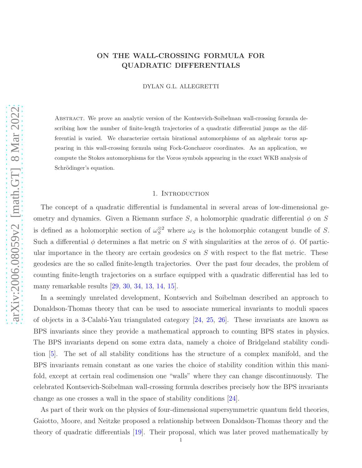# ON THE WALL-CROSSING FORMULA FOR QUADRATIC DIFFERENTIALS

DYLAN G.L. ALLEGRETTI

Abstract. We prove an analytic version of the Kontsevich-Soibelman wall-crossing formula describing how the number of finite-length trajectories of a quadratic differential jumps as the differential is varied. We characterize certain birational automorphisms of an algebraic torus appearing in this wall-crossing formula using Fock-Goncharov coordinates. As an application, we compute the Stokes automorphisms for the Voros symbols appearing in the exact WKB analysis of Schrödinger's equation.

#### 1. INTRODUCTION

The concept of a quadratic differential is fundamental in several areas of low-dimensional geometry and dynamics. Given a Riemann surface S, a holomorphic quadratic differential  $\phi$  on S is defined as a holomorphic section of  $\omega_S^{\otimes 2}$  where  $\omega_S$  is the holomorphic cotangent bundle of S. Such a differential  $\phi$  determines a flat metric on S with singularities at the zeros of  $\phi$ . Of particular importance in the theory are certain geodesics on  $S$  with respect to the flat metric. These geodesics are the so called finite-length trajectories. Over the past four decades, the problem of counting finite-length trajectories on a surface equipped with a quadratic differential has led to many remarkable results [\[29,](#page-36-0) [30,](#page-36-1) [34,](#page-36-2) [13,](#page-35-0) [14,](#page-35-1) [15\]](#page-35-2).

In a seemingly unrelated development, Kontsevich and Soibelman described an approach to Donaldson-Thomas theory that can be used to associate numerical invariants to moduli spaces of objects in a 3-Calabi-Yau triangulated category [\[24,](#page-36-3) [25,](#page-36-4) [26\]](#page-36-5). These invariants are known as BPS invariants since they provide a mathematical approach to counting BPS states in physics. The BPS invariants depend on some extra data, namely a choice of Bridgeland stability condition [\[5\]](#page-35-3). The set of all stability conditions has the structure of a complex manifold, and the BPS invariants remain constant as one varies the choice of stability condition within this manifold, except at certain real codimension one "walls" where they can change discontinuously. The celebrated Kontsevich-Soibelman wall-crossing formula describes precisely how the BPS invariants change as one crosses a wall in the space of stability conditions [\[24\]](#page-36-3).

As part of their work on the physics of four-dimensional supersymmetric quantum field theories, Gaiotto, Moore, and Neitzke proposed a relationship between Donaldson-Thomas theory and the theory of quadratic differentials [\[19\]](#page-36-6). Their proposal, which was later proved mathematically by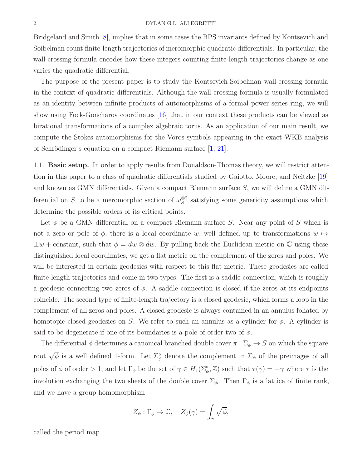#### 2 DYLAN G.L. ALLEGRETTI

Bridgeland and Smith [\[8\]](#page-35-4), implies that in some cases the BPS invariants defined by Kontsevich and Soibelman count finite-length trajectories of meromorphic quadratic differentials. In particular, the wall-crossing formula encodes how these integers counting finite-length trajectories change as one varies the quadratic differential.

The purpose of the present paper is to study the Kontsevich-Soibelman wall-crossing formula in the context of quadratic differentials. Although the wall-crossing formula is usually formulated as an identity between infinite products of automorphisms of a formal power series ring, we will show using Fock-Goncharov coordinates [\[16\]](#page-35-5) that in our context these products can be viewed as birational transformations of a complex algebraic torus. As an application of our main result, we compute the Stokes automorphisms for the Voros symbols appearing in the exact WKB analysis of Schrödinger's equation on a compact Riemann surface  $[1, 21]$  $[1, 21]$ .

1.1. Basic setup. In order to apply results from Donaldson-Thomas theory, we will restrict attention in this paper to a class of quadratic differentials studied by Gaiotto, Moore, and Neitzke [\[19\]](#page-36-6) and known as GMN differentials. Given a compact Riemann surface  $S$ , we will define a GMN differential on S to be a meromorphic section of  $\omega_S^{\otimes 2}$  $S^{\otimes 2}$  satisfying some genericity assumptions which determine the possible orders of its critical points.

Let  $\phi$  be a GMN differential on a compact Riemann surface S. Near any point of S which is not a zero or pole of  $\phi$ , there is a local coordinate w, well defined up to transformations  $w \mapsto$  $\pm w$  + constant, such that  $\phi = dw \otimes dw$ . By pulling back the Euclidean metric on C using these distinguished local coordinates, we get a flat metric on the complement of the zeros and poles. We will be interested in certain geodesics with respect to this flat metric. These geodesics are called finite-length trajectories and come in two types. The first is a saddle connection, which is roughly a geodesic connecting two zeros of  $\phi$ . A saddle connection is closed if the zeros at its endpoints coincide. The second type of finite-length trajectory is a closed geodesic, which forms a loop in the complement of all zeros and poles. A closed geodesic is always contained in an annulus foliated by homotopic closed geodesics on S. We refer to such an annulus as a cylinder for  $\phi$ . A cylinder is said to be degenerate if one of its boundaries is a pole of order two of  $\phi$ .

The differential  $\phi$  determines a canonical branched double cover  $\pi : \Sigma_{\phi} \to S$  on which the square root  $\sqrt{\phi}$  is a well defined 1-form. Let  $\Sigma_{\phi}^{\circ}$  denote the complement in  $\Sigma_{\phi}$  of the preimages of all poles of  $\phi$  of order > 1, and let  $\Gamma_{\phi}$  be the set of  $\gamma \in H_1(\Sigma_{\phi}^{\circ}, \mathbb{Z})$  such that  $\tau(\gamma) = -\gamma$  where  $\tau$  is the involution exchanging the two sheets of the double cover  $\Sigma_{\phi}$ . Then  $\Gamma_{\phi}$  is a lattice of finite rank, and we have a group homomorphism

$$
Z_{\phi}: \Gamma_{\phi} \to \mathbb{C}, \quad Z_{\phi}(\gamma) = \int_{\gamma} \sqrt{\phi},
$$

called the period map.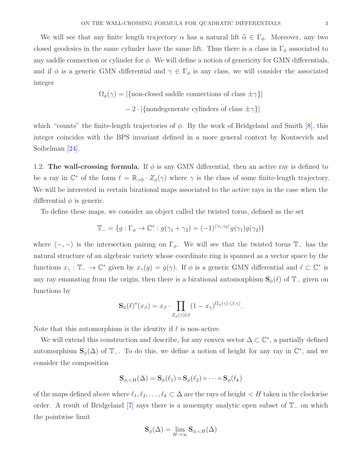We will see that any finite length trajectory  $\alpha$  has a natural lift  $\hat{\alpha} \in \Gamma_{\phi}$ . Moreover, any two closed geodesics in the same cylinder have the same lift. Thus there is a class in  $\Gamma_{\phi}$  associated to any saddle connection or cylinder for  $\phi$ . We will define a notion of genericity for GMN differentials, and if  $\phi$  is a generic GMN differential and  $\gamma \in \Gamma_{\phi}$  is any class, we will consider the associated integer

$$
\Omega_{\phi}(\gamma) = |\{\text{non-closed saddle connections of class } \pm \gamma\}|
$$
  
- 2 · |{nondegenerate cylinders of class  $\pm \gamma$ }|

which "counts" the finite-length trajectories of  $\phi$ . By the work of Bridgeland and Smith [\[8\]](#page-35-4), this integer coincides with the BPS invariant defined in a more general context by Kontsevich and Soibelman [\[24\]](#page-36-3).

1.2. The wall-crossing formula. If  $\phi$  is any GMN differential, then an active ray is defined to be a ray in  $\mathbb{C}^*$  of the form  $\ell = \mathbb{R}_{>0} \cdot Z_{\phi}(\gamma)$  where  $\gamma$  is the class of some finite-length trajectory. We will be interested in certain birational maps associated to the active rays in the case when the differential  $\phi$  is generic.

To define these maps, we consider an object called the twisted torus, defined as the set

$$
\mathbb{T}_{-} = \{ g : \Gamma_{\phi} \to \mathbb{C}^* : g(\gamma_1 + \gamma_2) = (-1)^{\langle \gamma_1, \gamma_2 \rangle} g(\gamma_1) g(\gamma_2) \}
$$

where  $\langle -, - \rangle$  is the intersection pairing on  $\Gamma_{\phi}$ . We will see that the twisted torus T<sub>−</sub> has the natural structure of an algebraic variety whose coordinate ring is spanned as a vector space by the functions  $x_\gamma : \mathbb{T}_- \to \mathbb{C}^*$  given by  $x_\gamma(g) = g(\gamma)$ . If  $\phi$  is a generic GMN differential and  $\ell \subset \mathbb{C}^*$  is any ray emanating from the origin, then there is a birational automorphism  $\mathbf{S}_{\phi}(\ell)$  of  $\mathbb{T}_-$  given on functions by

$$
\mathbf{S}_{\phi}(\ell)^{*}(x_{\beta})=x_{\beta}\cdot\prod_{Z_{\phi}(\gamma)\in\ell}(1-x_{\gamma})^{\Omega_{\phi}(\gamma)\cdot\langle\beta,\gamma\rangle}.
$$

Note that this automorphism is the identity if  $\ell$  is non-active.

We will extend this construction and describe, for any convex sector  $\Delta \subset \mathbb{C}^*$ , a partially defined automorphism  $\mathbf{S}_{\phi}(\Delta)$  of  $\mathbb{T}_-$ . To do this, we define a notion of height for any ray in  $\mathbb{C}^*$ , and we consider the composition

$$
\mathbf{S}_{\phi,\lt;\mathcal{H}}(\Delta) = \mathbf{S}_{\phi}(\ell_1) \circ \mathbf{S}_{\phi}(\ell_2) \circ \cdots \circ \mathbf{S}_{\phi}(\ell_k)
$$

of the maps defined above where  $\ell_1, \ell_2, \ldots, \ell_k \subset \Delta$  are the rays of height  $\lt H$  taken in the clockwise order. A result of Bridgeland [\[7\]](#page-35-7) says there is a nonempty analytic open subset of T<sup>−</sup> on which the pointwise limit

$$
\mathbf{S}_{\phi}(\Delta) = \lim_{H \to \infty} \mathbf{S}_{\phi, < H}(\Delta)
$$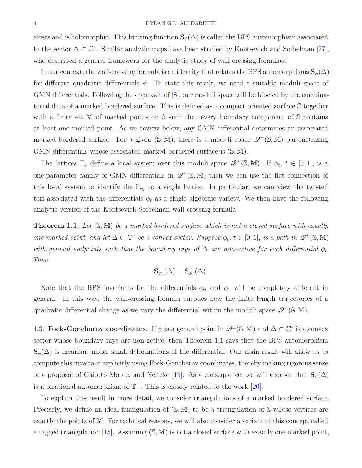exists and is holomorphic. This limiting function  $\mathbf{S}_{\phi}(\Delta)$  is called the BPS automorphism associated to the sector  $\Delta \subset \mathbb{C}^*$ . Similar analytic maps have been studied by Kontsevich and Soibelman [\[27\]](#page-36-8), who described a general framework for the analytic study of wall-crossing formulas.

In our context, the wall-crossing formula is an identity that relates the BPS automorphisms  $\mathbf{S}_{\phi}(\Delta)$ for different quadratic differentials  $\phi$ . To state this result, we need a suitable moduli space of GMN differentials. Following the approach of [\[8\]](#page-35-4), our moduli space will be labeled by the combinatorial data of a marked bordered surface. This is defined as a compact oriented surface S together with a finite set M of marked points on S such that every boundary component of S contains at least one marked point. As we review below, any GMN differential determines an associated marked bordered surface. For a given  $(S, M)$ , there is a moduli space  $\mathscr{Q}^{\pm}(S, M)$  parametrizing GMN differentials whose associated marked bordered surface is (S, M).

The lattices  $\Gamma_{\phi}$  define a local system over this moduli space  $\mathscr{Q}^{\pm}(\mathbb{S}, \mathbb{M})$ . If  $\phi_t, t \in [0, 1]$ , is a one-parameter family of GMN differentials in  $\mathscr{Q}^{\pm}(\mathbb{S}, \mathbb{M})$  then we can use the flat connection of this local system to identify the  $\Gamma_{\phi_t}$  to a single lattice. In particular, we can view the twisted tori associated with the differentials  $\phi_t$  as a single algebraic variety. We then have the following analytic version of the Kontsevich-Soibelman wall-crossing formula.

<span id="page-3-0"></span>**Theorem 1.1.** Let  $(S, M)$  be a marked bordered surface which is not a closed surface with exactly one marked point, and let  $\Delta \subset \mathbb{C}^*$  be a convex sector. Suppose  $\phi_t$ ,  $t \in [0,1]$ , is a path in  $\mathscr{Q}^{\pm}(\mathbb{S}, \mathbb{M})$ with general endpoints such that the boundary rays of  $\Delta$  are non-active for each differential  $\phi_t$ . Then

$$
\mathbf{S}_{\phi_0}(\Delta) = \mathbf{S}_{\phi_1}(\Delta).
$$

Note that the BPS invariants for the differentials  $\phi_0$  and  $\phi_1$  will be completely different in general. In this way, the wall-crossing formula encodes how the finite length trajectories of a quadratic differential change as we vary the differential within the moduli space  $\mathscr{Q}^{\pm}(\mathbb{S}, \mathbb{M})$ .

1.3. Fock-Goncharov coordinates. If  $\phi$  is a general point in  $\mathscr{Q}^{\pm}(\mathbb{S}, \mathbb{M})$  and  $\Delta \subset \mathbb{C}^*$  is a convex sector whose boundary rays are non-active, then Theorem [1.1](#page-3-0) says that the BPS automorphism  $\mathbf{S}_{\phi}(\Delta)$  is invariant under small deformations of the differential. Our main result will allow us to compute this invariant explicitly using Fock-Goncharov coordinates, thereby making rigorous sense of a proposal of Gaiotto Moore, and Neitzke [\[19\]](#page-36-6). As a consequence, we will also see that  $\mathbf{S}_{\phi}(\Delta)$ is a birational automorphism of T−. This is closely related to the work [\[20\]](#page-36-9).

To explain this result in more detail, we consider triangulations of a marked bordered surface. Precisely, we define an ideal triangulation of  $(S, M)$  to be a triangulation of S whose vertices are exactly the points of M. For technical reasons, we will also consider a variant of this concept called a tagged triangulation [\[18\]](#page-36-10). Assuming (S, M) is not a closed surface with exactly one marked point,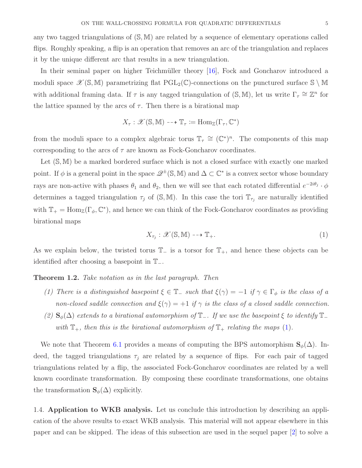any two tagged triangulations of  $(S, M)$  are related by a sequence of elementary operations called flips. Roughly speaking, a flip is an operation that removes an arc of the triangulation and replaces it by the unique different arc that results in a new triangulation.

In their seminal paper on higher Teichmüller theory  $[16]$ , Fock and Goncharov introduced a moduli space  $\mathscr{X}(\mathbb{S}, \mathbb{M})$  parametrizing flat  $PGL_2(\mathbb{C})$ -connections on the punctured surface  $\mathbb{S} \setminus \mathbb{M}$ with additional framing data. If  $\tau$  is any tagged triangulation of  $(S, M)$ , let us write  $\Gamma_{\tau} \cong \mathbb{Z}^n$  for the lattice spanned by the arcs of  $\tau$ . Then there is a birational map

$$
X_{\tau}: \mathscr{X}(\mathbb{S}, \mathbb{M}) \dashrightarrow \mathbb{T}_{\tau} := \text{Hom}_{\mathbb{Z}}(\Gamma_{\tau}, \mathbb{C}^*)
$$

from the moduli space to a complex algebraic torus  $\mathbb{T}_{\tau} \cong (\mathbb{C}^*)^n$ . The components of this map corresponding to the arcs of  $\tau$  are known as Fock-Goncharov coordinates.

Let  $(S, M)$  be a marked bordered surface which is not a closed surface with exactly one marked point. If  $\phi$  is a general point in the space  $\mathscr{Q}^{\pm}(\mathbb{S}, \mathbb{M})$  and  $\Delta \subset \mathbb{C}^*$  is a convex sector whose boundary rays are non-active with phases  $\theta_1$  and  $\theta_2$ , then we will see that each rotated differential  $e^{-2i\theta_j} \cdot \phi$ determines a tagged triangulation  $\tau_j$  of  $(S, M)$ . In this case the tori  $\mathbb{T}_{\tau_j}$  are naturally identified with  $\mathbb{T}_+ = \text{Hom}_{\mathbb{Z}}(\Gamma_\phi, \mathbb{C}^*)$ , and hence we can think of the Fock-Goncharov coordinates as providing birational maps

<span id="page-4-0"></span>
$$
X_{\tau_j} : \mathcal{X}(\mathbb{S}, \mathbb{M}) \dashrightarrow \mathbb{T}_+.
$$
 (1)

As we explain below, the twisted torus  $\mathbb{T}_-$  is a torsor for  $\mathbb{T}_+$ , and hence these objects can be identified after choosing a basepoint in T−.

## <span id="page-4-1"></span>**Theorem 1.2.** Take notation as in the last paragraph. Then

- (1) There is a distinguished basepoint  $\xi \in \mathbb{T}_-$  such that  $\xi(\gamma) = -1$  if  $\gamma \in \Gamma_\phi$  is the class of a non-closed saddle connection and  $\xi(\gamma) = +1$  if  $\gamma$  is the class of a closed saddle connection.
- (2)  $\mathbf{S}_{\phi}(\Delta)$  extends to a birational automorphism of  $\mathbb{T}_-$ . If we use the basepoint  $\xi$  to identify  $\mathbb{T}_$ with  $\mathbb{T}_+$ , then this is the birational automorphism of  $\mathbb{T}_+$  relating the maps [\(1\)](#page-4-0).

We note that Theorem [6.1](#page-24-0) provides a means of computing the BPS automorphism  $\mathbf{S}_{\phi}(\Delta)$ . Indeed, the tagged triangulations  $\tau_j$  are related by a sequence of flips. For each pair of tagged triangulations related by a flip, the associated Fock-Goncharov coordinates are related by a well known coordinate transformation. By composing these coordinate transformations, one obtains the transformation  $\mathbf{S}_{\phi}(\Delta)$  explicitly.

1.4. Application to WKB analysis. Let us conclude this introduction by describing an application of the above results to exact WKB analysis. This material will not appear elsewhere in this paper and can be skipped. The ideas of this subsection are used in the sequel paper [\[2\]](#page-35-8) to solve a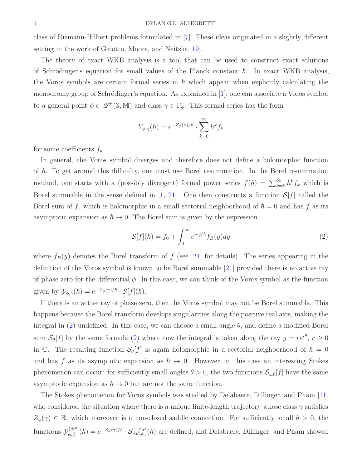class of Riemann-Hilbert problems formulated in [\[7\]](#page-35-7). These ideas originated in a slightly different setting in the work of Gaiotto, Moore, and Neitzke [\[19\]](#page-36-6).

The theory of exact WKB analysis is a tool that can be used to construct exact solutions of Schrödinger's equation for small values of the Planck constant  $\hbar$ . In exact WKB analysis, the Voros symbols are certain formal series in  $\hbar$  which appear when explicitly calculating the monodromy group of Schrödinger's equation. As explained in  $[1]$ , one can associate a Voros symbol to a general point  $\phi \in \mathcal{Q}^{\pm}(\mathbb{S}, \mathbb{M})$  and class  $\gamma \in \Gamma_{\phi}$ . This formal series has the form

$$
Y_{\phi,\gamma}(\hbar) = e^{-Z_{\phi}(\gamma)/\hbar} \cdot \sum_{k=0}^{\infty} \hbar^k f_k
$$

for some coefficients  $f_k$ .

In general, the Voros symbol diverges and therefore does not define a holomorphic function of  $\hbar$ . To get around this difficulty, one must use Borel resummation. In the Borel resummation method, one starts with a (possibly divergent) formal power series  $f(\hbar) = \sum_{k=0}^{\infty} \hbar^k f_k$  which is Borel summable in the sense defined in [\[1,](#page-35-6) [21\]](#page-36-7). One then constructs a function  $S[f]$  called the Borel sum of f, which is holomorphic in a small sectorial neighborhood of  $\hbar = 0$  and has f as its asymptotic expansion as  $\hbar \rightarrow 0$ . The Borel sum is given by the expression

<span id="page-5-0"></span>
$$
\mathcal{S}[f](\hbar) = f_0 + \int_0^\infty e^{-y/\hbar} f_B(y) dy \tag{2}
$$

where  $f_B(y)$  denotes the Borel transform of f (see [\[21\]](#page-36-7) for details). The series appearing in the definition of the Voros symbol is known to be Borel summable [\[21\]](#page-36-7) provided there is no active ray of phase zero for the differential  $\phi$ . In this case, we can think of the Voros symbol as the function given by  $\mathcal{Y}_{\phi,\gamma}(\hbar) = e^{-Z_{\phi}(\gamma)/\hbar} \cdot \mathcal{S}[f](\hbar)$ .

If there is an active ray of phase zero, then the Voros symbol may not be Borel summable. This happens because the Borel transform develops singularities along the positive real axis, making the integral in [\(2\)](#page-5-0) undefined. In this case, we can choose a small angle  $\theta$ , and define a modified Borel sum  $S_{\theta}[f]$  by the same formula [\(2\)](#page-5-0) where now the integral is taken along the ray  $y = re^{i\theta}$ ,  $r \ge 0$ in C. The resulting function  $S_{\theta}[f]$  is again holomorphic in a sectorial neighborhood of  $\hbar = 0$ and has f as its asymptotic expansion as  $\hbar \to 0$ . However, in this case an interesting Stokes phenomenon can occur: for sufficiently small angles  $\theta > 0$ , the two functions  $S_{\pm \theta}[f]$  have the same asymptotic expansion as  $\hbar \to 0$  but are not the same function.

The Stokes phenomenon for Voros symbols was studied by Delabaere, Dillinger, and Pham [\[11\]](#page-35-9) who considered the situation where there is a unique finite-length trajectory whose class  $\gamma$  satisfies  $Z_{\phi}(\gamma) \in \mathbb{R}$ , which moreover is a non-closed saddle connection. For sufficiently small  $\theta > 0$ , the functions  $\mathcal{Y}_{\phi,\beta}^{(\pm\theta)}(\hbar) = e^{-Z_{\phi}(\gamma)/\hbar} \cdot \mathcal{S}_{\pm\theta}[f](\hbar)$  are defined, and Delabaere, Dillinger, and Pham showed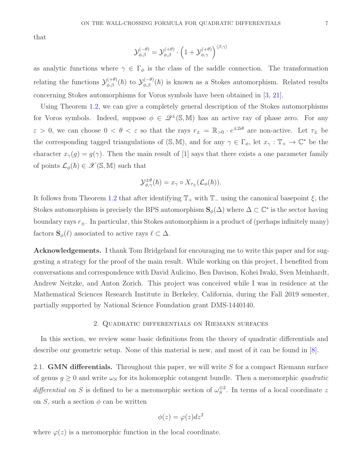that

$$
\mathcal{Y}_{\phi,\beta}^{(-\theta)} = \mathcal{Y}_{\phi,\beta}^{(+\theta)} \cdot \left(1 + \mathcal{Y}_{\phi,\gamma}^{(+\theta)}\right)^{\langle\beta,\gamma\rangle}
$$

as analytic functions where  $\gamma \in \Gamma_{\phi}$  is the class of the saddle connection. The transformation relating the functions  $\mathcal{Y}_{\phi,\beta}^{(+\theta)}(\hbar)$  to  $\mathcal{Y}_{\phi,\beta}^{(-\theta)}(\hbar)$  is known as a Stokes automorphism. Related results concerning Stokes automorphisms for Voros symbols have been obtained in [\[3,](#page-35-10) [21\]](#page-36-7).

Using Theorem [1.2,](#page-4-1) we can give a completely general description of the Stokes automorphisms for Voros symbols. Indeed, suppose  $\phi \in \mathcal{Q}^{\pm}(\mathbb{S}, \mathbb{M})$  has an active ray of phase zero. For any  $\varepsilon > 0$ , we can choose  $0 < \theta < \varepsilon$  so that the rays  $r_{\pm} = \mathbb{R}_{>0} \cdot e^{\pm 2i\theta}$  are non-active. Let  $\tau_{\pm}$  be the corresponding tagged triangulations of  $(S, M)$ , and for any  $\gamma \in \Gamma_{\phi}$ , let  $x_{\gamma} : \mathbb{T}_{+} \to \mathbb{C}^{*}$  be the character  $x_{\gamma}(g) = g(\gamma)$ . Then the main result of [\[1\]](#page-35-6) says that there exists a one parameter family of points  $\mathcal{L}_{\phi}(\hbar) \in \mathscr{X}(\mathbb{S}, \mathbb{M})$  such that

$$
\mathcal{Y}_{\phi,\gamma}^{\pm\theta}(\hbar) = x_{\gamma} \circ X_{\tau_{\pm}}(\mathcal{L}_{\phi}(\hbar)).
$$

It follows from Theorem [1.2](#page-4-1) that after identifying  $\mathbb{T}_+$  with  $\mathbb{T}_-$  using the canonical basepoint  $\xi$ , the Stokes automorphism is precisely the BPS automorphism  $\mathbf{S}_{\phi}(\Delta)$  where  $\Delta \subset \mathbb{C}^*$  is the sector having boundary rays  $r_{\pm}$ . In particular, this Stokes automorphism is a product of (perhaps infinitely many) factors  $\mathbf{S}_{\phi}(\ell)$  associated to active rays  $\ell \subset \Delta$ .

Acknowledgements. I thank Tom Bridgeland for encouraging me to write this paper and for suggesting a strategy for the proof of the main result. While working on this project, I benefited from conversations and correspondence with David Aulicino, Ben Davison, Kohei Iwaki, Sven Meinhardt, Andrew Neitzke, and Anton Zorich. This project was conceived while I was in residence at the Mathematical Sciences Research Institute in Berkeley, California, during the Fall 2019 semester, partially supported by National Science Foundation grant DMS-1440140.

#### 2. Quadratic differentials on Riemann surfaces

In this section, we review some basic definitions from the theory of quadratic differentials and describe our geometric setup. None of this material is new, and most of it can be found in [\[8\]](#page-35-4).

2.1. **GMN differentials.** Throughout this paper, we will write  $S$  for a compact Riemann surface of genus  $g \geq 0$  and write  $\omega_s$  for its holomorphic cotangent bundle. Then a meromorphic quadratic differential on S is defined to be a meromorphic section of  $\omega_S^{\otimes 2}$  $S^2$ . In terms of a local coordinate z on S, such a section  $\phi$  can be written

$$
\phi(z) = \varphi(z)dz^2
$$

where  $\varphi(z)$  is a meromorphic function in the local coordinate.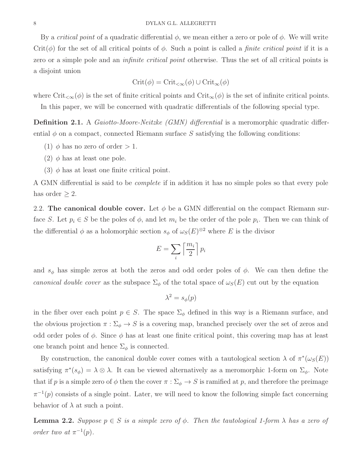By a *critical point* of a quadratic differential  $\phi$ , we mean either a zero or pole of  $\phi$ . We will write Crit( $\phi$ ) for the set of all critical points of  $\phi$ . Such a point is called a *finite critical point* if it is a zero or a simple pole and an *infinite critical point* otherwise. Thus the set of all critical points is a disjoint union

$$
Crit(\phi) = Crit_{<\infty}(\phi) \cup Crit_{\infty}(\phi)
$$

where  $\mathrm{Crit}_{< \infty}(\phi)$  is the set of finite critical points and  $\mathrm{Crit}_{< \infty}(\phi)$  is the set of infinite critical points.

In this paper, we will be concerned with quadratic differentials of the following special type.

**Definition 2.1.** A *Gaiotto-Moore-Neitzke (GMN) differential* is a meromorphic quadratic differential  $\phi$  on a compact, connected Riemann surface S satisfying the following conditions:

- (1)  $\phi$  has no zero of order  $> 1$ .
- (2)  $\phi$  has at least one pole.
- (3)  $\phi$  has at least one finite critical point.

A GMN differential is said to be complete if in addition it has no simple poles so that every pole has order  $\geq 2$ .

2.2. The canonical double cover. Let  $\phi$  be a GMN differential on the compact Riemann surface S. Let  $p_i \in S$  be the poles of  $\phi$ , and let  $m_i$  be the order of the pole  $p_i$ . Then we can think of the differential  $\phi$  as a holomorphic section  $s_{\phi}$  of  $\omega_{S}(E)^{\otimes 2}$  where E is the divisor

$$
E = \sum_{i} \left\lceil \frac{m_i}{2} \right\rceil p_i
$$

and  $s_{\phi}$  has simple zeros at both the zeros and odd order poles of  $\phi$ . We can then define the canonical double cover as the subspace  $\Sigma_{\phi}$  of the total space of  $\omega_{S}(E)$  cut out by the equation

$$
\lambda^2 = s_{\phi}(p)
$$

in the fiber over each point  $p \in S$ . The space  $\Sigma_{\phi}$  defined in this way is a Riemann surface, and the obvious projection  $\pi : \Sigma_{\phi} \to S$  is a covering map, branched precisely over the set of zeros and odd order poles of  $\phi$ . Since  $\phi$  has at least one finite critical point, this covering map has at least one branch point and hence  $\Sigma_{\phi}$  is connected.

By construction, the canonical double cover comes with a tautological section  $\lambda$  of  $\pi^*(\omega_S(E))$ satisfying  $\pi^*(s_{\phi}) = \lambda \otimes \lambda$ . It can be viewed alternatively as a meromorphic 1-form on  $\Sigma_{\phi}$ . Note that if p is a simple zero of  $\phi$  then the cover  $\pi : \Sigma_{\phi} \to S$  is ramified at p, and therefore the preimage  $\pi^{-1}(p)$  consists of a single point. Later, we will need to know the following simple fact concerning behavior of  $\lambda$  at such a point.

<span id="page-7-0"></span>**Lemma 2.2.** Suppose  $p \in S$  is a simple zero of  $\phi$ . Then the tautological 1-form  $\lambda$  has a zero of order two at  $\pi^{-1}(p)$ .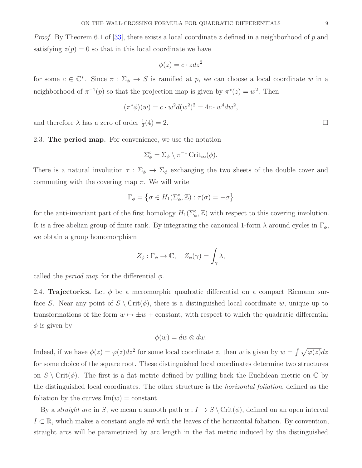*Proof.* By Theorem 6.1 of [\[33\]](#page-36-11), there exists a local coordinate z defined in a neighborhood of p and satisfying  $z(p) = 0$  so that in this local coordinate we have

$$
\phi(z) = c \cdot z \, dz^2
$$

for some  $c \in \mathbb{C}^*$ . Since  $\pi : \Sigma_{\phi} \to S$  is ramified at p, we can choose a local coordinate w in a neighborhood of  $\pi^{-1}(p)$  so that the projection map is given by  $\pi^*(z) = w^2$ . Then

$$
(\pi^* \phi)(w) = c \cdot w^2 d(w^2)^2 = 4c \cdot w^4 dw^2,
$$

and therefore  $\lambda$  has a zero of order  $\frac{1}{2}(4) = 2$ .

2.3. The period map. For convenience, we use the notation

$$
\Sigma_{\phi}^{\circ} = \Sigma_{\phi} \setminus \pi^{-1} \operatorname{Crit}_{\infty}(\phi).
$$

There is a natural involution  $\tau : \Sigma_{\phi} \to \Sigma_{\phi}$  exchanging the two sheets of the double cover and commuting with the covering map  $\pi$ . We will write

$$
\Gamma_{\phi} = \left\{ \sigma \in H_1(\Sigma_{\phi}^{\circ}, \mathbb{Z}) : \tau(\sigma) = -\sigma \right\}
$$

for the anti-invariant part of the first homology  $H_1(\Sigma_\phi^\circ, \mathbb{Z})$  with respect to this covering involution. It is a free abelian group of finite rank. By integrating the canonical 1-form  $\lambda$  around cycles in  $\Gamma_{\phi}$ , we obtain a group homomorphism

$$
Z_{\phi} : \Gamma_{\phi} \to \mathbb{C}, \quad Z_{\phi}(\gamma) = \int_{\gamma} \lambda,
$$

called the *period map* for the differential  $\phi$ .

2.4. Trajectories. Let  $\phi$  be a meromorphic quadratic differential on a compact Riemann surface S. Near any point of  $S \setminus \text{Crit}(\phi)$ , there is a distinguished local coordinate w, unique up to transformations of the form  $w \mapsto \pm w$  + constant, with respect to which the quadratic differential  $\phi$  is given by

$$
\phi(w) = dw \otimes dw.
$$

Indeed, if we have  $\phi(z) = \varphi(z)dz^2$  for some local coordinate z, then w is given by  $w = \int \sqrt{\varphi(z)}dz$ for some choice of the square root. These distinguished local coordinates determine two structures on  $S \setminus \mathrm{Crit}(\phi)$ . The first is a flat metric defined by pulling back the Euclidean metric on  $\mathbb C$  by the distinguished local coordinates. The other structure is the *horizontal foliation*, defined as the foliation by the curves  $\text{Im}(w) = \text{constant}$ .

By a *straight arc* in S, we mean a smooth path  $\alpha : I \to S \setminus \text{Crit}(\phi)$ , defined on an open interval  $I \subset \mathbb{R}$ , which makes a constant angle  $\pi\theta$  with the leaves of the horizontal foliation. By convention, straight arcs will be parametrized by arc length in the flat metric induced by the distinguished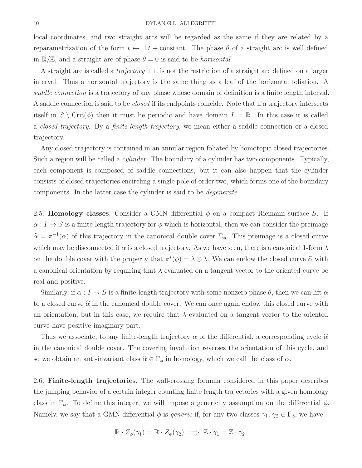local coordinates, and two straight arcs will be regarded as the same if they are related by a reparametrization of the form  $t \mapsto \pm t$  + constant. The phase  $\theta$  of a straight arc is well defined in  $\mathbb{R}/\mathbb{Z}$ , and a straight arc of phase  $\theta = 0$  is said to be *horizontal*.

A straight arc is called a trajectory if it is not the restriction of a straight arc defined on a larger interval. Thus a horizontal trajectory is the same thing as a leaf of the horizontal foliation. A saddle connection is a trajectory of any phase whose domain of definition is a finite length interval. A saddle connection is said to be closed if its endpoints coincide. Note that if a trajectory intersects itself in  $S \setminus \text{Crit}(\phi)$  then it must be periodic and have domain  $I = \mathbb{R}$ . In this case it is called a closed trajectory. By a finite-length trajectory, we mean either a saddle connection or a closed trajectory.

Any closed trajectory is contained in an annular region foliated by homotopic closed trajectories. Such a region will be called a *cylinder*. The boundary of a cylinder has two components. Typically, each component is composed of saddle connections, but it can also happen that the cylinder consists of closed trajectories encircling a single pole of order two, which forms one of the boundary components. In the latter case the cylinder is said to be degenerate.

2.5. Homology classes. Consider a GMN differential  $\phi$  on a compact Riemann surface S. If  $\alpha: I \to S$  is a finite-length trajectory for  $\phi$  which is horizontal, then we can consider the preimage  $\hat{\alpha} = \pi^{-1}(\alpha)$  of this trajectory in the canonical double cover  $\Sigma_{\phi}$ . This preimage is a closed curve which may be disconnected if  $\alpha$  is a closed trajectory. As we have seen, there is a canonical 1-form  $\lambda$ on the double cover with the property that  $\pi^*(\phi) = \lambda \otimes \lambda$ . We can endow the closed curve  $\widehat{\alpha}$  with a canonical orientation by requiring that  $\lambda$  evaluated on a tangent vector to the oriented curve be real and positive.

Similarly, if  $\alpha : I \to S$  is a finite-length trajectory with some nonzero phase  $\theta$ , then we can lift  $\alpha$ to a closed curve  $\hat{\alpha}$  in the canonical double cover. We can once again endow this closed curve with an orientation, but in this case, we require that  $\lambda$  evaluated on a tangent vector to the oriented curve have positive imaginary part.

Thus we associate, to any finite-length trajectory  $\alpha$  of the differential, a corresponding cycle  $\hat{\alpha}$ in the canonical double cover. The covering involution reverses the orientation of this cycle, and so we obtain an anti-invariant class  $\widehat{\alpha} \in \Gamma_{\phi}$  in homology, which we call the class of  $\alpha$ .

2.6. Finite-length trajectories. The wall-crossing formula considered in this paper describes the jumping behavior of a certain integer counting finite length trajectories with a given homology class in  $\Gamma_{\phi}$ . To define this integer, we will impose a genericity assumption on the differential  $\phi$ . Namely, we say that a GMN differential  $\phi$  is *generic* if, for any two classes  $\gamma_1, \gamma_2 \in \Gamma_{\phi}$ , we have

$$
\mathbb{R} \cdot Z_{\phi}(\gamma_1) = \mathbb{R} \cdot Z_{\phi}(\gamma_2) \implies \mathbb{Z} \cdot \gamma_1 = \mathbb{Z} \cdot \gamma_2.
$$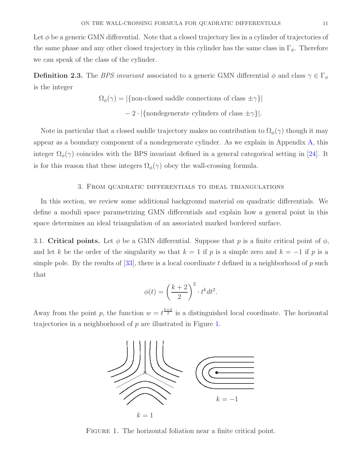Let  $\phi$  be a generic GMN differential. Note that a closed trajectory lies in a cylinder of trajectories of the same phase and any other closed trajectory in this cylinder has the same class in  $\Gamma_{\phi}$ . Therefore we can speak of the class of the cylinder.

**Definition 2.3.** The *BPS invariant* associated to a generic GMN differential  $\phi$  and class  $\gamma \in \Gamma_{\phi}$ is the integer

$$
\Omega_{\phi}(\gamma) = |\{\text{non-closed saddle connections of class } \pm \gamma\}|
$$
  
- 2 \cdot |\{nondegenerate cylinders of class  $\pm \gamma\}|$ .

Note in particular that a closed saddle trajectory makes no contribution to  $\Omega_{\phi}(\gamma)$  though it may appear as a boundary component of a nondegenerate cylinder. As we explain in Appendix [A,](#page-28-0) this integer  $\Omega_{\phi}(\gamma)$  coincides with the BPS invariant defined in a general categorical setting in [\[24\]](#page-36-3). It is for this reason that these integers  $\Omega_{\phi}(\gamma)$  obey the wall-crossing formula.

## 3. From quadratic differentials to ideal triangulations

In this section, we review some additional background material on quadratic differentials. We define a moduli space parametrizing GMN differentials and explain how a general point in this space determines an ideal triangulation of an associated marked bordered surface.

3.1. Critical points. Let  $\phi$  be a GMN differential. Suppose that p is a finite critical point of  $\phi$ , and let k be the order of the singularity so that  $k = 1$  if p is a simple zero and  $k = -1$  if p is a simple pole. By the results of  $[33]$ , there is a local coordinate t defined in a neighborhood of p such that

$$
\phi(t) = \left(\frac{k+2}{2}\right)^2 \cdot t^k dt^2.
$$

Away from the point p, the function  $w = t^{\frac{k+2}{2}}$  is a distinguished local coordinate. The horizontal trajectories in a neighborhood of p are illustrated in Figure [1.](#page-10-0)



<span id="page-10-0"></span>FIGURE 1. The horizontal foliation near a finite critical point.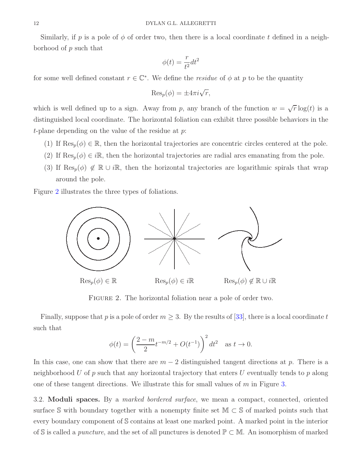Similarly, if p is a pole of  $\phi$  of order two, then there is a local coordinate t defined in a neighborhood of p such that

$$
\phi(t) = \frac{r}{t^2} dt^2
$$

for some well defined constant  $r \in \mathbb{C}^*$ . We define the *residue* of  $\phi$  at p to be the quantity

$$
\operatorname{Res}_p(\phi) = \pm 4\pi i \sqrt{r},
$$

which is well defined up to a sign. Away from p, any branch of the function  $w = \sqrt{r} \log(t)$  is a distinguished local coordinate. The horizontal foliation can exhibit three possible behaviors in the t-plane depending on the value of the residue at  $p$ .

- (1) If  $\text{Res}_p(\phi) \in \mathbb{R}$ , then the horizontal trajectories are concentric circles centered at the pole.
- (2) If  $\text{Res}_p(\phi) \in i\mathbb{R}$ , then the horizontal trajectories are radial arcs emanating from the pole.
- (3) If  $\text{Res}_p(\phi) \notin \mathbb{R} \cup i\mathbb{R}$ , then the horizontal trajectories are logarithmic spirals that wrap around the pole.

Figure [2](#page-11-0) illustrates the three types of foliations.



FIGURE 2. The horizontal foliation near a pole of order two.

Finally, suppose that p is a pole of order  $m \geq 3$ . By the results of [\[33\]](#page-36-11), there is a local coordinate t such that

<span id="page-11-0"></span>
$$
\phi(t) = \left(\frac{2 - m}{2} t^{-m/2} + O(t^{-1})\right)^2 dt^2 \quad \text{as } t \to 0.
$$

In this case, one can show that there are  $m-2$  distinguished tangent directions at p. There is a neighborhood U of  $p$  such that any horizontal trajectory that enters U eventually tends to  $p$  along one of these tangent directions. We illustrate this for small values of  $m$  in Figure [3.](#page-12-0)

3.2. Moduli spaces. By a *marked bordered surface*, we mean a compact, connected, oriented surface S with boundary together with a nonempty finite set  $\mathbb{M} \subset \mathbb{S}$  of marked points such that every boundary component of S contains at least one marked point. A marked point in the interior of S is called a *puncture*, and the set of all punctures is denoted  $\mathbb{P} \subset \mathbb{M}$ . An isomorphism of marked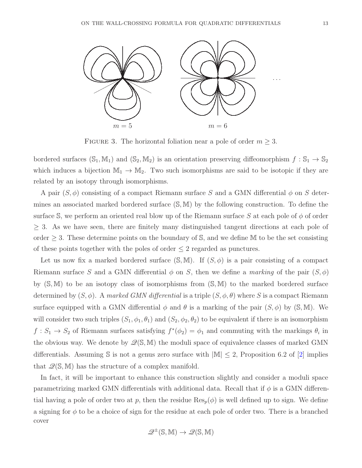

<span id="page-12-0"></span>FIGURE 3. The horizontal foliation near a pole of order  $m \geq 3$ .

bordered surfaces  $(S_1, M_1)$  and  $(S_2, M_2)$  is an orientation preserving diffeomorphism  $f : S_1 \to S_2$ which induces a bijection  $\mathbb{M}_1 \to \mathbb{M}_2$ . Two such isomorphisms are said to be isotopic if they are related by an isotopy through isomorphisms.

A pair  $(S, \phi)$  consisting of a compact Riemann surface S and a GMN differential  $\phi$  on S determines an associated marked bordered surface (S, M) by the following construction. To define the surface S, we perform an oriented real blow up of the Riemann surface S at each pole of  $\phi$  of order  $\geq$  3. As we have seen, there are finitely many distinguished tangent directions at each pole of order  $\geq$  3. These determine points on the boundary of S, and we define M to be the set consisting of these points together with the poles of order  $\leq 2$  regarded as punctures.

Let us now fix a marked bordered surface  $(S, M)$ . If  $(S, \phi)$  is a pair consisting of a compact Riemann surface S and a GMN differential  $\phi$  on S, then we define a marking of the pair  $(S, \phi)$ by (S, M) to be an isotopy class of isomorphisms from (S, M) to the marked bordered surface determined by  $(S, \phi)$ . A marked GMN differential is a triple  $(S, \phi, \theta)$  where S is a compact Riemann surface equipped with a GMN differential  $\phi$  and  $\theta$  is a marking of the pair  $(S, \phi)$  by  $(\mathbb{S}, \mathbb{M})$ . We will consider two such triples  $(S_1, \phi_1, \theta_1)$  and  $(S_2, \phi_2, \theta_2)$  to be equivalent if there is an isomorphism  $f: S_1 \to S_2$  of Riemann surfaces satisfying  $f^*(\phi_2) = \phi_1$  and commuting with the markings  $\theta_i$  in the obvious way. We denote by  $\mathcal{Q}(\mathbb{S}, \mathbb{M})$  the moduli space of equivalence classes of marked GMN differentials. Assuming S is not a genus zero surface with  $|\mathbb{M}| \leq 2$ , Proposition 6.2 of [\[2\]](#page-35-8) implies that  $\mathcal{Q}(\mathbb{S}, \mathbb{M})$  has the structure of a complex manifold.

In fact, it will be important to enhance this construction slightly and consider a moduli space parametrizing marked GMN differentials with additional data. Recall that if  $\phi$  is a GMN differential having a pole of order two at p, then the residue  $\text{Res}_p(\phi)$  is well defined up to sign. We define a signing for  $\phi$  to be a choice of sign for the residue at each pole of order two. There is a branched cover

$$
\mathscr{Q}^{\pm}(\mathbb{S},\mathbb{M})\to \mathscr{Q}(\mathbb{S},\mathbb{M})
$$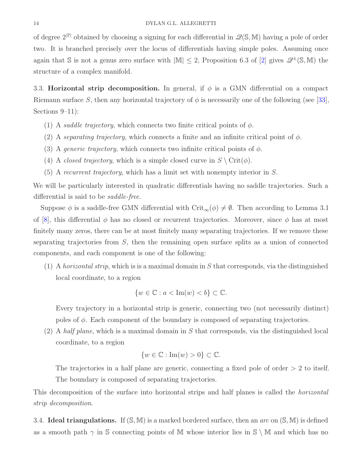of degree  $2^{\mathbb{P}}$  obtained by choosing a signing for each differential in  $\mathcal{Q}(\mathbb{S}, \mathbb{M})$  having a pole of order two. It is branched precisely over the locus of differentials having simple poles. Assuming once again that S is not a genus zero surface with  $|\mathbb{M}| \leq 2$ , Proposition 6.3 of [\[2\]](#page-35-8) gives  $\mathscr{Q}^{\pm}(\mathbb{S}, \mathbb{M})$  the structure of a complex manifold.

3.3. Horizontal strip decomposition. In general, if  $\phi$  is a GMN differential on a compact Riemann surface S, then any horizontal trajectory of  $\phi$  is necessarily one of the following (see [\[33\]](#page-36-11), Sections 9–11):

- (1) A saddle trajectory, which connects two finite critical points of  $\phi$ .
- (2) A separating trajectory, which connects a finite and an infinite critical point of  $\phi$ .
- (3) A *generic trajectory*, which connects two infinite critical points of  $\phi$ .
- (4) A closed trajectory, which is a simple closed curve in  $S \setminus \text{Crit}(\phi)$ .
- $(5)$  A recurrent trajectory, which has a limit set with nonempty interior in S.

We will be particularly interested in quadratic differentials having no saddle trajectories. Such a differential is said to be saddle-free.

Suppose  $\phi$  is a saddle-free GMN differential with Crit<sub>∞</sub>( $\phi$ )  $\neq$  Ø. Then according to Lemma 3.1 of [\[8\]](#page-35-4), this differential  $\phi$  has no closed or recurrent trajectories. Moreover, since  $\phi$  has at most finitely many zeros, there can be at most finitely many separating trajectories. If we remove these separating trajectories from  $S$ , then the remaining open surface splits as a union of connected components, and each component is one of the following:

(1) A horizontal strip, which is is a maximal domain in  $S$  that corresponds, via the distinguished local coordinate, to a region

$$
\{w \in \mathbb{C} : a < \text{Im}(w) < b\} \subset \mathbb{C}.
$$

Every trajectory in a horizontal strip is generic, connecting two (not necessarily distinct) poles of  $\phi$ . Each component of the boundary is composed of separating trajectories.

(2) A half plane, which is a maximal domain in  $S$  that corresponds, via the distinguished local coordinate, to a region

$$
\{w \in \mathbb{C} : \text{Im}(w) > 0\} \subset \mathbb{C}.
$$

The trajectories in a half plane are generic, connecting a fixed pole of order  $> 2$  to itself. The boundary is composed of separating trajectories.

This decomposition of the surface into horizontal strips and half planes is called the horizontal strip decomposition.

3.4. Ideal triangulations. If  $(S, M)$  is a marked bordered surface, then an *arc* on  $(S, M)$  is defined as a smooth path  $\gamma$  in S connecting points of M whose interior lies in  $\mathcal{S} \setminus \mathcal{M}$  and which has no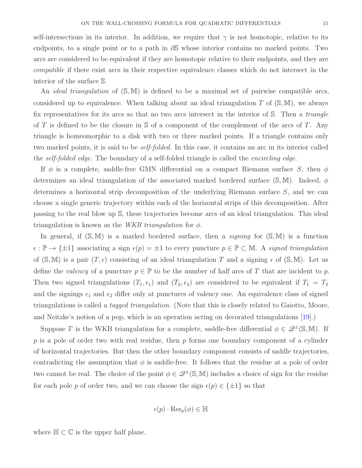self-intersections in its interior. In addition, we require that  $\gamma$  is not homotopic, relative to its endpoints, to a single point or to a path in  $\partial\mathbb{S}$  whose interior contains no marked points. Two arcs are considered to be equivalent if they are homotopic relative to their endpoints, and they are compatible if there exist arcs in their respective equivalence classes which do not intersect in the interior of the surface S.

An *ideal triangulation* of  $(S, M)$  is defined to be a maximal set of pairwise compatible arcs, considered up to equivalence. When talking about an ideal triangulation T of  $(S, M)$ , we always fix representatives for its arcs so that no two arcs intersect in the interior of S. Then a *triangle* of T is defined to be the closure in  $S$  of a component of the complement of the arcs of T. Any triangle is homeomorphic to a disk with two or three marked points. If a triangle contains only two marked points, it is said to be *self-folded*. In this case, it contains an arc in its interior called the *self-folded edge*. The boundary of a self-folded triangle is called the *encircling edge*.

If  $\phi$  is a complete, saddle-free GMN differential on a compact Riemann surface S, then  $\phi$ determines an ideal triangulation of the associated marked bordered surface  $(S, M)$ . Indeed,  $\phi$ determines a horizontal strip decomposition of the underlying Riemann surface S, and we can choose a single generic trajectory within each of the horizontal strips of this decomposition. After passing to the real blow up S, these trajectories become arcs of an ideal triangulation. This ideal triangulation is known as the WKB triangulation for  $\phi$ .

In general, if  $(S, M)$  is a marked bordered surface, then a *signing* for  $(S, M)$  is a function  $\epsilon : \mathbb{P} \to \{\pm 1\}$  associating a sign  $\epsilon(p) = \pm 1$  to every puncture  $p \in \mathbb{P} \subset \mathbb{M}$ . A signed triangulation of  $(S, M)$  is a pair  $(T, \epsilon)$  consisting of an ideal triangulation T and a signing  $\epsilon$  of  $(S, M)$ . Let us define the valency of a puncture  $p \in \mathbb{P}$  to be the number of half arcs of T that are incident to p. Then two signed triangulations  $(T_1, \epsilon_1)$  and  $(T_2, \epsilon_2)$  are considered to be equivalent if  $T_1 = T_2$ and the signings  $\epsilon_1$  and  $\epsilon_2$  differ only at punctures of valency one. An equivalence class of signed triangulations is called a tagged triangulation. (Note that this is closely related to Gaiotto, Moore, and Neitzke's notion of a pop, which is an operation acting on decorated triangulations [\[19\]](#page-36-6).)

Suppose T is the WKB triangulation for a complete, saddle-free differential  $\phi \in \mathcal{Q}^{\pm}(\mathbb{S}, \mathbb{M})$ . If  $p$  is a pole of order two with real residue, then  $p$  forms one boundary component of a cylinder of horizontal trajectories. But then the other boundary component consists of saddle trajectories, contradicting the assumption that  $\phi$  is saddle-free. It follows that the residue at a pole of order two cannot be real. The choice of the point  $\phi \in \mathcal{Q}^{\pm}(\mathbb{S}, \mathbb{M})$  includes a choice of sign for the residue for each pole p of order two, and we can choose the sign  $\epsilon(p) \in {\pm 1}$  so that

$$
\epsilon(p) \cdot \text{Res}_p(\phi) \in \mathbb{H}
$$

where  $\mathbb{H} \subset \mathbb{C}$  is the upper half plane.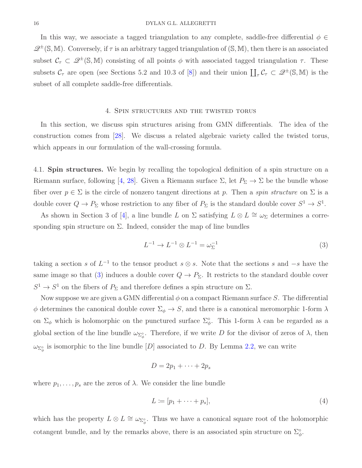In this way, we associate a tagged triangulation to any complete, saddle-free differential  $\phi \in$  $\mathscr{Q}^{\pm}(\mathbb{S}, \mathbb{M})$ . Conversely, if  $\tau$  is an arbitrary tagged triangulation of  $(\mathbb{S}, \mathbb{M})$ , then there is an associated subset  $C_{\tau} \subset \mathcal{Q}^{\pm}(\mathbb{S}, \mathbb{M})$  consisting of all points  $\phi$  with associated tagged triangulation  $\tau$ . These subsets  $C_{\tau}$  are open (see Sections 5.2 and 10.3 of [\[8\]](#page-35-4)) and their union  $\prod_{\tau} C_{\tau} \subset \mathscr{Q}^{\pm}(\mathbb{S}, \mathbb{M})$  is the subset of all complete saddle-free differentials.

#### 4. Spin structures and the twisted torus

<span id="page-15-2"></span>In this section, we discuss spin structures arising from GMN differentials. The idea of the construction comes from [\[28\]](#page-36-12). We discuss a related algebraic variety called the twisted torus, which appears in our formulation of the wall-crossing formula.

4.1. Spin structures. We begin by recalling the topological definition of a spin structure on a Riemann surface, following [\[4,](#page-35-11) [28\]](#page-36-12). Given a Riemann surface  $\Sigma$ , let  $P_{\Sigma} \to \Sigma$  be the bundle whose fiber over  $p \in \Sigma$  is the circle of nonzero tangent directions at p. Then a spin structure on  $\Sigma$  is a double cover  $Q \to P_{\Sigma}$  whose restriction to any fiber of  $P_{\Sigma}$  is the standard double cover  $S^1 \to S^1$ .

As shown in Section 3 of [\[4\]](#page-35-11), a line bundle L on  $\Sigma$  satisfying  $L \otimes L \cong \omega_{\Sigma}$  determines a corresponding spin structure on  $\Sigma$ . Indeed, consider the map of line bundles

<span id="page-15-0"></span>
$$
L^{-1} \to L^{-1} \otimes L^{-1} = \omega_{\Sigma}^{-1}
$$
 (3)

taking a section s of  $L^{-1}$  to the tensor product  $s \otimes s$ . Note that the sections s and  $-s$  have the same image so that [\(3\)](#page-15-0) induces a double cover  $Q \to P_{\Sigma}$ . It restricts to the standard double cover  $S^1 \to S^1$  on the fibers of  $P_{\Sigma}$  and therefore defines a spin structure on  $\Sigma$ .

Now suppose we are given a GMN differential  $\phi$  on a compact Riemann surface S. The differential  $\phi$  determines the canonical double cover  $\Sigma_{\phi} \to S$ , and there is a canonical meromorphic 1-form  $\lambda$ on  $\Sigma_{\phi}$  which is holomorphic on the punctured surface  $\Sigma_{\phi}^{\circ}$ . This 1-form  $\lambda$  can be regarded as a global section of the line bundle  $\omega_{\Sigma^{\circ}_{\phi}}$ . Therefore, if we write D for the divisor of zeros of  $\lambda$ , then  $\omega_{\Sigma^{\circ}_{\phi}}$  is isomorphic to the line bundle  $[D]$  associated to D. By Lemma [2.2,](#page-7-0) we can write

$$
D=2p_1+\cdots+2p_s
$$

where  $p_1, \ldots, p_s$  are the zeros of  $\lambda$ . We consider the line bundle

<span id="page-15-1"></span>
$$
L \coloneqq [p_1 + \dots + p_s],\tag{4}
$$

which has the property  $L \otimes L \cong \omega_{\Sigma_{\phi}^{\circ}}$ . Thus we have a canonical square root of the holomorphic cotangent bundle, and by the remarks above, there is an associated spin structure on  $\Sigma_{\phi}^{\circ}$ .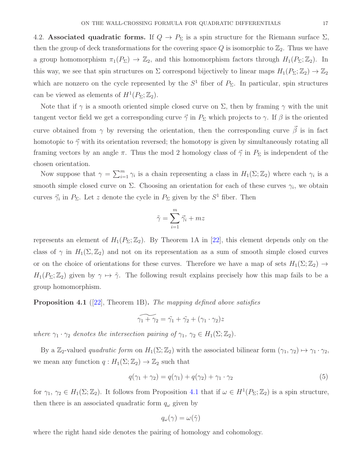<span id="page-16-2"></span>4.2. Associated quadratic forms. If  $Q \to P_{\Sigma}$  is a spin structure for the Riemann surface  $\Sigma$ , then the group of deck transformations for the covering space  $Q$  is isomorphic to  $\mathbb{Z}_2$ . Thus we have a group homomorphism  $\pi_1(P_\Sigma) \to \mathbb{Z}_2$ , and this homomorphism factors through  $H_1(P_\Sigma; \mathbb{Z}_2)$ . In this way, we see that spin structures on  $\Sigma$  correspond bijectively to linear maps  $H_1(P_\Sigma; \mathbb{Z}_2) \to \mathbb{Z}_2$ which are nonzero on the cycle represented by the  $S<sup>1</sup>$  fiber of  $P_{\Sigma}$ . In particular, spin structures can be viewed as elements of  $H^1(P_\Sigma; \mathbb{Z}_2)$ .

Note that if  $\gamma$  is a smooth oriented simple closed curve on  $\Sigma$ , then by framing  $\gamma$  with the unit tangent vector field we get a corresponding curve  $\vec{\gamma}$  in  $P_{\Sigma}$  which projects to  $\gamma$ . If  $\beta$  is the oriented curve obtained from  $\gamma$  by reversing the orientation, then the corresponding curve  $\vec{\beta}$  is in fact homotopic to  $\vec{\gamma}$  with its orientation reversed; the homotopy is given by simultaneously rotating all framing vectors by an angle  $\pi$ . Thus the mod 2 homology class of  $\vec{\gamma}$  in  $P_{\Sigma}$  is independent of the chosen orientation.

Now suppose that  $\gamma = \sum_{i=1}^m \gamma_i$  is a chain representing a class in  $H_1(\Sigma; \mathbb{Z}_2)$  where each  $\gamma_i$  is a smooth simple closed curve on  $\Sigma$ . Choosing an orientation for each of these curves  $\gamma_i$ , we obtain curves  $\vec{\gamma}_i$  in  $P_{\Sigma}$ . Let z denote the cycle in  $P_{\Sigma}$  given by the  $S^1$  fiber. Then

$$
\tilde{\gamma} = \sum_{i=1}^m \vec{\gamma}_i + mz
$$

represents an element of  $H_1(P_\Sigma; \mathbb{Z}_2)$ . By Theorem 1A in [\[22\]](#page-36-13), this element depends only on the class of  $\gamma$  in  $H_1(\Sigma, \mathbb{Z}_2)$  and not on its representation as a sum of smooth simple closed curves or on the choice of orientations for these curves. Therefore we have a map of sets  $H_1(\Sigma; \mathbb{Z}_2) \to$  $H_1(P_\Sigma;\mathbb{Z}_2)$  given by  $\gamma \mapsto \tilde{\gamma}$ . The following result explains precisely how this map fails to be a group homomorphism.

<span id="page-16-0"></span>**Proposition 4.1** ([\[22\]](#page-36-13), Theorem 1B). The mapping defined above satisfies

$$
\widetilde{\gamma_1 + \gamma_2} = \widetilde{\gamma_1} + \widetilde{\gamma_2} + (\gamma_1 \cdot \gamma_2)z
$$

where  $\gamma_1 \cdot \gamma_2$  denotes the intersection pairing of  $\gamma_1$ ,  $\gamma_2 \in H_1(\Sigma; \mathbb{Z}_2)$ .

By a Z<sub>2</sub>-valued *quadratic form* on  $H_1(\Sigma; \mathbb{Z}_2)$  with the associated bilinear form  $(\gamma_1, \gamma_2) \mapsto \gamma_1 \cdot \gamma_2$ , we mean any function  $q: H_1(\Sigma; \mathbb{Z}_2) \to \mathbb{Z}_2$  such that

<span id="page-16-1"></span>
$$
q(\gamma_1 + \gamma_2) = q(\gamma_1) + q(\gamma_2) + \gamma_1 \cdot \gamma_2 \tag{5}
$$

for  $\gamma_1, \gamma_2 \in H_1(\Sigma; \mathbb{Z}_2)$ . It follows from Proposition [4.1](#page-16-0) that if  $\omega \in H^1(P_{\Sigma}; \mathbb{Z}_2)$  is a spin structure, then there is an associated quadratic form  $q_{\omega}$  given by

$$
q_\omega(\gamma)=\omega(\tilde{\gamma})
$$

where the right hand side denotes the pairing of homology and cohomology.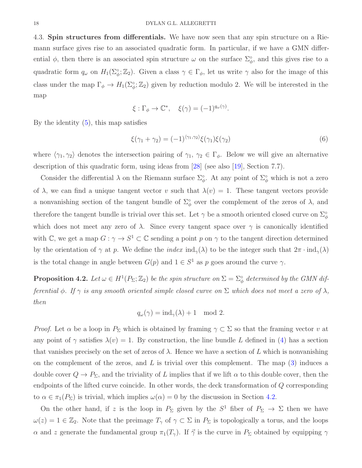4.3. Spin structures from differentials. We have now seen that any spin structure on a Riemann surface gives rise to an associated quadratic form. In particular, if we have a GMN differential  $\phi$ , then there is an associated spin structure  $\omega$  on the surface  $\Sigma_{\phi}^{\circ}$ , and this gives rise to a quadratic form  $q_\omega$  on  $H_1(\Sigma_\phi^\circ;\mathbb{Z}_2)$ . Given a class  $\gamma \in \Gamma_\phi$ , let us write  $\gamma$  also for the image of this class under the map  $\Gamma_{\phi} \to H_1(\Sigma_{\phi}^{\circ}; \mathbb{Z}_2)$  given by reduction modulo 2. We will be interested in the map

$$
\xi : \Gamma_{\phi} \to \mathbb{C}^*, \quad \xi(\gamma) = (-1)^{q_{\omega}(\gamma)}.
$$

By the identity  $(5)$ , this map satisfies

<span id="page-17-1"></span>
$$
\xi(\gamma_1 + \gamma_2) = (-1)^{\langle \gamma_1, \gamma_2 \rangle} \xi(\gamma_1) \xi(\gamma_2)
$$
\n(6)

where  $\langle \gamma_1, \gamma_2 \rangle$  denotes the intersection pairing of  $\gamma_1, \gamma_2 \in \Gamma_\phi$ . Below we will give an alternative description of this quadratic form, using ideas from [\[28\]](#page-36-12) (see also [\[19\]](#page-36-6), Section 7.7).

Consider the differential  $\lambda$  on the Riemann surface  $\Sigma_{\phi}^{\circ}$ . At any point of  $\Sigma_{\phi}^{\circ}$  which is not a zero of  $\lambda$ , we can find a unique tangent vector v such that  $\lambda(v) = 1$ . These tangent vectors provide a nonvanishing section of the tangent bundle of  $\Sigma^{\circ}_{\phi}$  over the complement of the zeros of  $\lambda$ , and therefore the tangent bundle is trivial over this set. Let  $\gamma$  be a smooth oriented closed curve on  $\Sigma^{\circ}_{\phi}$ which does not meet any zero of  $\lambda$ . Since every tangent space over  $\gamma$  is canonically identified with  $\mathbb{C}$ , we get a map  $G: \gamma \to S^1 \subset \mathbb{C}$  sending a point p on  $\gamma$  to the tangent direction determined by the orientation of  $\gamma$  at p. We define the *index* ind<sub> $\gamma$ </sub>( $\lambda$ ) to be the integer such that  $2\pi \cdot \text{ind}_{\gamma}(\lambda)$ is the total change in angle between  $G(p)$  and  $1 \in S^1$  as p goes around the curve  $\gamma$ .

<span id="page-17-0"></span>**Proposition 4.2.** Let  $\omega \in H^1(P_\Sigma; \mathbb{Z}_2)$  be the spin structure on  $\Sigma = \Sigma^{\circ}_{\phi}$  determined by the GMN differential  $\phi$ . If  $\gamma$  is any smooth oriented simple closed curve on  $\Sigma$  which does not meet a zero of  $\lambda$ , then

$$
q_{\omega}(\gamma) = \text{ind}_{\gamma}(\lambda) + 1 \mod 2.
$$

*Proof.* Let  $\alpha$  be a loop in  $P_{\Sigma}$  which is obtained by framing  $\gamma \subset \Sigma$  so that the framing vector v at any point of  $\gamma$  satisfies  $\lambda(v) = 1$ . By construction, the line bundle L defined in [\(4\)](#page-15-1) has a section that vanishes precisely on the set of zeros of  $\lambda$ . Hence we have a section of L which is nonvanishing on the complement of the zeros, and  $L$  is trivial over this complement. The map  $(3)$  induces a double cover  $Q \to P_{\Sigma}$ , and the triviality of L implies that if we lift  $\alpha$  to this double cover, then the endpoints of the lifted curve coincide. In other words, the deck transformation of Q corresponding to  $\alpha \in \pi_1(P_\Sigma)$  is trivial, which implies  $\omega(\alpha) = 0$  by the discussion in Section [4.2.](#page-16-2)

On the other hand, if z is the loop in  $P_{\Sigma}$  given by the  $S^1$  fiber of  $P_{\Sigma} \to \Sigma$  then we have  $\omega(z) = 1 \in \mathbb{Z}_2$ . Note that the preimage  $T_\gamma$  of  $\gamma \subset \Sigma$  in  $P_\Sigma$  is topologically a torus, and the loops α and z generate the fundamental group  $\pi_1(T_\gamma)$ . If  $\vec{\gamma}$  is the curve in  $P_\Sigma$  obtained by equipping  $\gamma$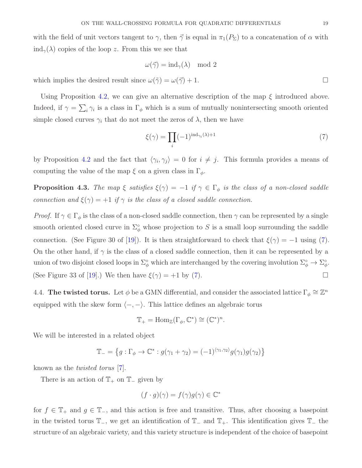with the field of unit vectors tangent to  $\gamma$ , then  $\vec{\gamma}$  is equal in  $\pi_1(P_{\Sigma})$  to a concatenation of  $\alpha$  with  $\text{ind}_{\gamma}(\lambda)$  copies of the loop z. From this we see that

$$
\omega(\vec{\gamma}) = \mathrm{ind}_{\gamma}(\lambda) \mod 2
$$

which implies the desired result since  $\omega(\tilde{\gamma}) = \omega(\tilde{\gamma}) + 1$ .

Using Proposition [4.2,](#page-17-0) we can give an alternative description of the map  $\xi$  introduced above. Indeed, if  $\gamma = \sum_i \gamma_i$  is a class in  $\Gamma_{\phi}$  which is a sum of mutually nonintersecting smooth oriented simple closed curves  $\gamma_i$  that do not meet the zeros of  $\lambda$ , then we have

<span id="page-18-0"></span>
$$
\xi(\gamma) = \prod_{i} (-1)^{\operatorname{ind}_{\gamma_i}(\lambda) + 1} \tag{7}
$$

by Proposition [4.2](#page-17-0) and the fact that  $\langle \gamma_i, \gamma_j \rangle = 0$  for  $i \neq j$ . This formula provides a means of computing the value of the map  $\xi$  on a given class in  $\Gamma_{\phi}$ .

**Proposition 4.3.** The map  $\xi$  satisfies  $\xi(\gamma) = -1$  if  $\gamma \in \Gamma_{\phi}$  is the class of a non-closed saddle connection and  $\xi(\gamma) = +1$  if  $\gamma$  is the class of a closed saddle connection.

*Proof.* If  $\gamma \in \Gamma_{\phi}$  is the class of a non-closed saddle connection, then  $\gamma$  can be represented by a single smooth oriented closed curve in  $\Sigma^{\circ}_{\phi}$  whose projection to S is a small loop surrounding the saddle connection. (See Figure 30 of [\[19\]](#page-36-6)). It is then straightforward to check that  $\xi(\gamma) = -1$  using [\(7\)](#page-18-0). On the other hand, if  $\gamma$  is the class of a closed saddle connection, then it can be represented by a union of two disjoint closed loops in  $\Sigma^{\circ}_{\phi}$  which are interchanged by the covering involution  $\Sigma^{\circ}_{\phi} \to \Sigma^{\circ}_{\phi}$ . (See Figure 33 of [\[19\]](#page-36-6).) We then have  $\xi(\gamma) = +1$  by [\(7\)](#page-18-0).

4.4. The twisted torus. Let  $\phi$  be a GMN differential, and consider the associated lattice  $\Gamma_{\phi} \cong \mathbb{Z}^n$ equipped with the skew form  $\langle -, - \rangle$ . This lattice defines an algebraic torus

$$
\mathbb{T}_{+}=\mathrm{Hom}_{\mathbb{Z}}(\Gamma_{\phi},\mathbb{C}^{*})\cong(\mathbb{C}^{*})^{n}.
$$

We will be interested in a related object

$$
\mathbb{T}_{-} = \left\{ g : \Gamma_{\phi} \to \mathbb{C}^* : g(\gamma_1 + \gamma_2) = (-1)^{\langle \gamma_1, \gamma_2 \rangle} g(\gamma_1) g(\gamma_2) \right\}
$$

known as the twisted torus [\[7\]](#page-35-7).

There is an action of  $\mathbb{T}_+$  on  $\mathbb{T}_-$  given by

$$
(f \cdot g)(\gamma) = f(\gamma)g(\gamma) \in \mathbb{C}^*
$$

for  $f \in \mathbb{T}_+$  and  $g \in \mathbb{T}_-$ , and this action is free and transitive. Thus, after choosing a basepoint in the twisted torus  $\mathbb{T}_-$ , we get an identification of  $\mathbb{T}_-$  and  $\mathbb{T}_+$ . This identification gives  $\mathbb{T}_-$  the structure of an algebraic variety, and this variety structure is independent of the choice of basepoint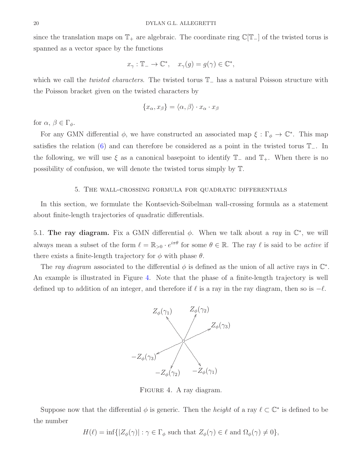since the translation maps on  $\mathbb{T}_+$  are algebraic. The coordinate ring  $\mathbb{C}[\mathbb{T}_-]$  of the twisted torus is spanned as a vector space by the functions

$$
x_{\gamma} : \mathbb{T}_{-} \to \mathbb{C}^{*}, \quad x_{\gamma}(g) = g(\gamma) \in \mathbb{C}^{*},
$$

which we call the twisted characters. The twisted torus T<sup>−</sup> has a natural Poisson structure with the Poisson bracket given on the twisted characters by

$$
\{x_{\alpha}, x_{\beta}\} = \langle \alpha, \beta \rangle \cdot x_{\alpha} \cdot x_{\beta}
$$

for  $\alpha, \beta \in \Gamma_{\phi}$ .

For any GMN differential  $\phi$ , we have constructed an associated map  $\xi : \Gamma_{\phi} \to \mathbb{C}^*$ . This map satisfies the relation [\(6\)](#page-17-1) and can therefore be considered as a point in the twisted torus  $\mathbb{T}_-$ . In the following, we will use  $\xi$  as a canonical basepoint to identify  $\mathbb{T}_-$  and  $\mathbb{T}_+$ . When there is no possibility of confusion, we will denote the twisted torus simply by T.

#### 5. The wall-crossing formula for quadratic differentials

<span id="page-19-1"></span>In this section, we formulate the Kontsevich-Soibelman wall-crossing formula as a statement about finite-length trajectories of quadratic differentials.

5.1. The ray diagram. Fix a GMN differential  $\phi$ . When we talk about a ray in  $\mathbb{C}^*$ , we will always mean a subset of the form  $\ell = \mathbb{R}_{>0} \cdot e^{i\pi\theta}$  for some  $\theta \in \mathbb{R}$ . The ray  $\ell$  is said to be *active* if there exists a finite-length trajectory for  $\phi$  with phase  $\theta$ .

The ray diagram associated to the differential  $\phi$  is defined as the union of all active rays in  $\mathbb{C}^*$ . An example is illustrated in Figure [4.](#page-19-0) Note that the phase of a finite-length trajectory is well defined up to addition of an integer, and therefore if  $\ell$  is a ray in the ray diagram, then so is  $-\ell$ .



<span id="page-19-0"></span>FIGURE 4. A ray diagram.

Suppose now that the differential  $\phi$  is generic. Then the *height* of a ray  $\ell \subset \mathbb{C}^*$  is defined to be the number

 $H(\ell) = \inf\{|Z_{\phi}(\gamma)| : \gamma \in \Gamma_{\phi} \text{ such that } Z_{\phi}(\gamma) \in \ell \text{ and } \Omega_{\phi}(\gamma) \neq 0\},\$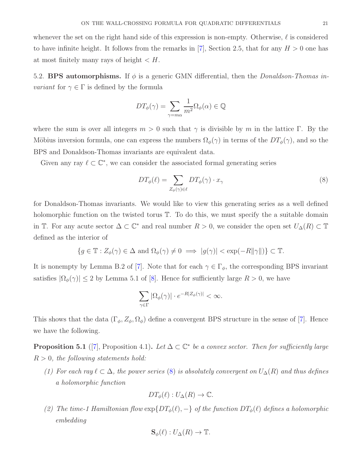whenever the set on the right hand side of this expression is non-empty. Otherwise,  $\ell$  is considered to have infinite height. It follows from the remarks in [\[7\]](#page-35-7), Section 2.5, that for any  $H > 0$  one has at most finitely many rays of height  $\lt H$ .

<span id="page-20-2"></span>5.2. BPS automorphisms. If  $\phi$  is a generic GMN differential, then the *Donaldson-Thomas invariant* for  $\gamma \in \Gamma$  is defined by the formula

$$
DT_{\phi}(\gamma) = \sum_{\gamma = m\alpha} \frac{1}{m^2} \Omega_{\phi}(\alpha) \in \mathbb{Q}
$$

where the sum is over all integers  $m > 0$  such that  $\gamma$  is divisible by m in the lattice Γ. By the Möbius inversion formula, one can express the numbers  $\Omega_{\phi}(\gamma)$  in terms of the  $DT_{\phi}(\gamma)$ , and so the BPS and Donaldson-Thomas invariants are equivalent data.

Given any ray  $\ell \subset \mathbb{C}^*$ , we can consider the associated formal generating series

<span id="page-20-0"></span>
$$
DT_{\phi}(\ell) = \sum_{Z_{\phi}(\gamma)\in\ell} DT_{\phi}(\gamma) \cdot x_{\gamma}
$$
\n(8)

for Donaldson-Thomas invariants. We would like to view this generating series as a well defined holomorphic function on the twisted torus  $\mathbb T$ . To do this, we must specify the a suitable domain in  $\mathbb{T}$ . For any acute sector  $\Delta \subset \mathbb{C}^*$  and real number  $R > 0$ , we consider the open set  $U_{\Delta}(R) \subset \mathbb{T}$ defined as the interior of

$$
\{g\in\mathbb{T}:Z_\phi(\gamma)\in\Delta\text{ and }\Omega_\phi(\gamma)\neq 0\implies |g(\gamma)|<\exp(-R||\gamma||)\}\subset\mathbb{T}.
$$

It is nonempty by Lemma B.2 of [\[7\]](#page-35-7). Note that for each  $\gamma \in \Gamma_{\phi}$ , the corresponding BPS invariant satisfies  $|\Omega_{\phi}(\gamma)| \leq 2$  by Lemma 5.1 of [\[8\]](#page-35-4). Hence for sufficiently large  $R > 0$ , we have

$$
\sum_{\gamma \in \Gamma} |\Omega_{\phi}(\gamma)| \cdot e^{-R |Z_{\phi}(\gamma)|} < \infty.
$$

This shows that the data  $(\Gamma_{\phi}, Z_{\phi}, \Omega_{\phi})$  define a convergent BPS structure in the sense of [\[7\]](#page-35-7). Hence we have the following.

<span id="page-20-1"></span>**Proposition 5.1** ([\[7\]](#page-35-7), Proposition 4.1). Let  $\Delta \subset \mathbb{C}^*$  be a convex sector. Then for sufficiently large  $R > 0$ , the following statements hold:

(1) For each ray  $\ell \subset \Delta$ , the power series [\(8\)](#page-20-0) is absolutely convergent on  $U_{\Delta}(R)$  and thus defines a holomorphic function

$$
DT_{\phi}(\ell): U_{\Delta}(R) \to \mathbb{C}.
$$

(2) The time-1 Hamiltonian flow  $\exp\{DT_{\phi}(\ell), -\}$  of the function  $DT_{\phi}(\ell)$  defines a holomorphic embedding

$$
\mathbf{S}_{\phi}(\ell): U_{\Delta}(R) \to \mathbb{T}.
$$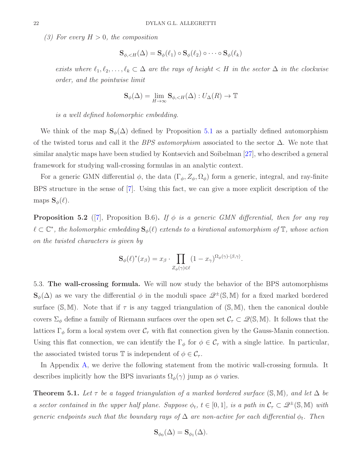(3) For every  $H > 0$ , the composition

$$
\mathbf{S}_{\phi,\lt;\mathcal{H}}(\Delta) = \mathbf{S}_{\phi}(\ell_1) \circ \mathbf{S}_{\phi}(\ell_2) \circ \cdots \circ \mathbf{S}_{\phi}(\ell_k)
$$

exists where  $\ell_1, \ell_2, \ldots, \ell_k \subset \Delta$  are the rays of height  $\lt H$  in the sector  $\Delta$  in the clockwise order, and the pointwise limit

$$
\mathbf{S}_{\phi}(\Delta) = \lim_{H \to \infty} \mathbf{S}_{\phi, < H}(\Delta) : U_{\Delta}(R) \to \mathbb{T}
$$

is a well defined holomorphic embedding.

We think of the map  $\mathbf{S}_{\phi}(\Delta)$  defined by Proposition [5.1](#page-20-1) as a partially defined automorphism of the twisted torus and call it the BPS automorphism associated to the sector  $\Delta$ . We note that similar analytic maps have been studied by Kontsevich and Soibelman [\[27\]](#page-36-8), who described a general framework for studying wall-crossing formulas in an analytic context.

For a generic GMN differential  $\phi$ , the data  $(\Gamma_{\phi}, Z_{\phi}, \Omega_{\phi})$  form a generic, integral, and ray-finite BPS structure in the sense of [\[7\]](#page-35-7). Using this fact, we can give a more explicit description of the maps  $\mathbf{S}_{\phi}(\ell)$ .

<span id="page-21-0"></span>**Proposition 5.2** ([\[7\]](#page-35-7), Proposition B.6). If  $\phi$  is a generic GMN differential, then for any ray  $\ell \subset \mathbb{C}^*$ , the holomorphic embedding  $\mathbf{S}_{\phi}(\ell)$  extends to a birational automorphism of  $\mathbb{T},$  whose action on the twisted characters is given by

$$
\mathbf{S}_{\phi}(\ell)^{*}(x_{\beta}) = x_{\beta} \cdot \prod_{Z_{\phi}(\gamma) \in \ell} (1 - x_{\gamma})^{\Omega_{\phi}(\gamma) \cdot \langle \beta, \gamma \rangle}.
$$

5.3. The wall-crossing formula. We will now study the behavior of the BPS automorphisms  $\mathbf{S}_{\phi}(\Delta)$  as we vary the differential  $\phi$  in the moduli space  $\mathscr{Q}^{\pm}(\mathbb{S}, \mathbb{M})$  for a fixed marked bordered surface  $(S, M)$ . Note that if  $\tau$  is any tagged triangulation of  $(S, M)$ , then the canonical double covers  $\Sigma_{\phi}$  define a family of Riemann surfaces over the open set  $\mathcal{C}_{\tau} \subset \mathcal{Q}(\mathbb{S}, \mathbb{M})$ . It follows that the lattices  $\Gamma_{\phi}$  form a local system over  $\mathcal{C}_{\tau}$  with flat connection given by the Gauss-Manin connection. Using this flat connection, we can identify the  $\Gamma_{\phi}$  for  $\phi \in C_{\tau}$  with a single lattice. In particular, the associated twisted torus T is independent of  $\phi \in \mathcal{C}_{\tau}$ .

In Appendix [A,](#page-28-0) we derive the following statement from the motivic wall-crossing formula. It describes implicitly how the BPS invariants  $\Omega_{\phi}(\gamma)$  jump as  $\phi$  varies.

<span id="page-21-1"></span>**Theorem 5.1.** Let  $\tau$  be a tagged triangulation of a marked bordered surface (S, M), and let  $\Delta$  be a sector contained in the upper half plane. Suppose  $\phi_t$ ,  $t \in [0,1]$ , is a path in  $\mathcal{C}_\tau \subset \mathscr{Q}^{\pm}(\mathbb{S}, \mathbb{M})$  with generic endpoints such that the boundary rays of  $\Delta$  are non-active for each differential  $\phi_t$ . Then

$$
\mathbf{S}_{\phi_0}(\Delta) = \mathbf{S}_{\phi_1}(\Delta).
$$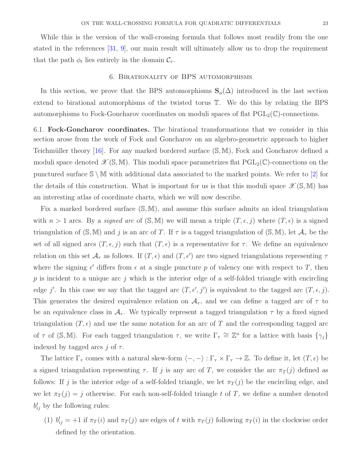While this is the version of the wall-crossing formula that follows most readily from the one stated in the references [\[31,](#page-36-14) [9\]](#page-35-12), our main result will ultimately allow us to drop the requirement that the path  $\phi_t$  lies entirely in the domain  $\mathcal{C}_{\tau}$ .

#### 6. Birationality of BPS automorphisms

In this section, we prove that the BPS automorphisms  $S_{\phi}(\Delta)$  introduced in the last section extend to birational automorphisms of the twisted torus T. We do this by relating the BPS automorphisms to Fock-Goncharov coordinates on moduli spaces of flat  $PGL_2(\mathbb{C})$ -connections.

6.1. Fock-Goncharov coordinates. The birational transformations that we consider in this section arose from the work of Fock and Goncharov on an algebro-geometric approach to higher Teichmüller theory [\[16\]](#page-35-5). For any marked bordered surface  $(S, M)$ , Fock and Goncharov defined a moduli space denoted  $\mathscr{X}(\mathbb{S}, \mathbb{M})$ . This moduli space parametrizes flat  $PGL_2(\mathbb{C})$ -connections on the punctured surface  $\mathbb{S} \setminus \mathbb{M}$  with additional data associated to the marked points. We refer to |2| for the details of this construction. What is important for us is that this moduli space  $\mathscr{X}(\mathbb{S}, \mathbb{M})$  has an interesting atlas of coordinate charts, which we will now describe.

Fix a marked bordered surface (S, M), and assume this surface admits an ideal triangulation with  $n > 1$  arcs. By a *signed arc* of  $(S, M)$  we will mean a triple  $(T, \epsilon, j)$  where  $(T, \epsilon)$  is a signed triangulation of  $(S, M)$  and j is an arc of T. If  $\tau$  is a tagged triangulation of  $(S, M)$ , let  $\mathcal{A}_{\tau}$  be the set of all signed arcs  $(T, \epsilon, j)$  such that  $(T, \epsilon)$  is a representative for  $\tau$ . We define an equivalence relation on this set  $\mathcal{A}_{\tau}$  as follows. If  $(T, \epsilon)$  and  $(T, \epsilon')$  are two signed triangulations representing  $\tau$ where the signing  $\epsilon'$  differs from  $\epsilon$  at a single puncture p of valency one with respect to T, then  $p$  is incident to a unique arc j which is the interior edge of a self-folded triangle with encircling edge j'. In this case we say that the tagged arc  $(T, \epsilon', j')$  is equivalent to the tagged arc  $(T, \epsilon, j)$ . This generates the desired equivalence relation on  $A_{\tau}$ , and we can define a tagged arc of  $\tau$  to be an equivalence class in  $A_{\tau}$ . We typically represent a tagged triangulation  $\tau$  by a fixed signed triangulation  $(T, \epsilon)$  and use the same notation for an arc of T and the corresponding tagged arc of  $\tau$  of (S,M). For each tagged triangulation  $\tau$ , we write  $\Gamma_{\tau} \cong \mathbb{Z}^n$  for a lattice with basis  $\{\gamma_j\}$ indexed by tagged arcs j of  $\tau$ .

The lattice  $\Gamma_{\tau}$  comes with a natural skew-form  $\langle -, - \rangle : \Gamma_{\tau} \times \Gamma_{\tau} \to \mathbb{Z}$ . To define it, let  $(T, \epsilon)$  be a signed triangulation representing  $\tau$ . If j is any arc of T, we consider the arc  $\pi_T(j)$  defined as follows: If j is the interior edge of a self-folded triangle, we let  $\pi_T(j)$  be the encircling edge, and we let  $\pi_T(j) = j$  otherwise. For each non-self-folded triangle t of T, we define a number denoted  $b_{ij}^t$  by the following rules:

(1)  $b_{ij}^t = +1$  if  $\pi_T(i)$  and  $\pi_T(j)$  are edges of t with  $\pi_T(j)$  following  $\pi_T(i)$  in the clockwise order defined by the orientation.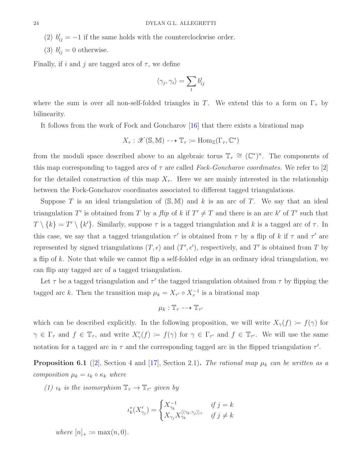(2)  $b_{ij}^t = -1$  if the same holds with the counterclockwise order.

(3)  $b_{ij}^t = 0$  otherwise.

Finally, if i and j are tagged arcs of  $\tau$ , we define

$$
\langle \gamma_j, \gamma_i \rangle = \sum_t b_{ij}^t
$$

where the sum is over all non-self-folded triangles in T. We extend this to a form on  $\Gamma_{\tau}$  by bilinearity.

It follows from the work of Fock and Goncharov [\[16\]](#page-35-5) that there exists a birational map

$$
X_{\tau} : \mathscr{X}(\mathbb{S}, \mathbb{M}) \dashrightarrow \mathbb{T}_{\tau} \coloneqq \text{Hom}_{\mathbb{Z}}(\Gamma_{\tau}, \mathbb{C}^*)
$$

from the moduli space described above to an algebraic torus  $\mathbb{T}_{\tau} \cong (\mathbb{C}^*)^n$ . The components of this map corresponding to tagged arcs of  $\tau$  are called Fock-Goncharov coordinates. We refer to [\[2\]](#page-35-8) for the detailed construction of this map  $X_{\tau}$ . Here we are mainly interested in the relationship between the Fock-Goncharov coordinates associated to different tagged triangulations.

Suppose T is an ideal triangulation of  $(S, M)$  and k is an arc of T. We say that an ideal triangulation T' is obtained from T by a flip of k if  $T' \neq T$  and there is an arc k' of T' such that  $T \setminus \{k\} = T' \setminus \{k'\}.$  Similarly, suppose  $\tau$  is a tagged triangulation and k is a tagged arc of  $\tau$ . In this case, we say that a tagged triangulation  $\tau'$  is obtained from  $\tau$  by a flip of k if  $\tau$  and  $\tau'$  are represented by signed triangulations  $(T, \epsilon)$  and  $(T', \epsilon')$ , respectively, and T' is obtained from T by a flip of k. Note that while we cannot flip a self-folded edge in an ordinary ideal triangulation, we can flip any tagged arc of a tagged triangulation.

Let  $\tau$  be a tagged triangulation and  $\tau'$  the tagged triangulation obtained from  $\tau$  by flipping the tagged arc k. Then the transition map  $\mu_k = X_{\tau'} \circ X_{\tau}^{-1}$  is a birational map

$$
\mu_k : \mathbb{T}_{\tau} \dashrightarrow \mathbb{T}_{\tau'}
$$

which can be described explicitly. In the following proposition, we will write  $X_{\gamma}(f) := f(\gamma)$  for  $\gamma \in \Gamma_{\tau}$  and  $f \in \mathbb{T}_{\tau}$ , and write  $X'_{\gamma}(f) := f(\gamma)$  for  $\gamma \in \Gamma_{\tau'}$  and  $f \in \mathbb{T}_{\tau'}$ . We will use the same notation for a tagged arc in  $\tau$  and the corresponding tagged arc in the flipped triangulation  $\tau'$ .

<span id="page-23-0"></span>**Proposition 6.1** ([\[2\]](#page-35-8), Section 4 and [\[17\]](#page-35-13), Section 2.1). The rational map  $\mu_k$  can be written as a composition  $\mu_k = \iota_k \circ \kappa_k$  where

(1)  $\iota_k$  is the isomorphism  $\mathbb{T}_{\tau} \to \mathbb{T}_{\tau'}$  given by

$$
\iota_k^*(X'_{\gamma_j}) = \begin{cases} X_{\gamma_k}^{-1} & \text{if } j = k \\ X_{\gamma_j} X_{\gamma_k}^{[\langle \gamma_k, \gamma_j \rangle]_+} & \text{if } j \neq k \end{cases}
$$

where  $[n]_+ := \max(n, 0)$ .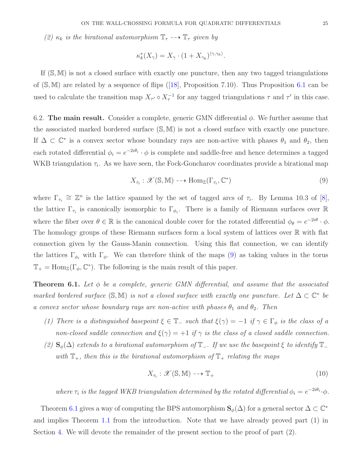(2)  $\kappa_k$  is the birational automorphism  $\mathbb{T}_{\tau} \dashrightarrow \mathbb{T}_{\tau}$  given by

$$
\kappa_k^*(X_\gamma) = X_\gamma \cdot (1 + X_{\gamma_k})^{\langle \gamma, \gamma_k \rangle}.
$$

If  $(S, M)$  is not a closed surface with exactly one puncture, then any two tagged triangulations of $(S, M)$  are related by a sequence of flips ([\[18\]](#page-36-10), Proposition 7.10). Thus Proposition [6.1](#page-23-0) can be used to calculate the transition map  $X_{\tau'} \circ X_{\tau}^{-1}$  for any tagged triangulations  $\tau$  and  $\tau'$  in this case.

<span id="page-24-3"></span>6.2. The main result. Consider a complete, generic GMN differential  $\phi$ . We further assume that the associated marked bordered surface (S, M) is not a closed surface with exactly one puncture. If  $\Delta \subset \mathbb{C}^*$  is a convex sector whose boundary rays are non-active with phases  $\theta_1$  and  $\theta_2$ , then each rotated differential  $\phi_i = e^{-2i\theta_i} \cdot \phi$  is complete and saddle-free and hence determines a tagged WKB triangulation  $\tau_i$ . As we have seen, the Fock-Goncharov coordinates provide a birational map

<span id="page-24-1"></span>
$$
X_{\tau_i}: \mathcal{X}(\mathbb{S}, \mathbb{M}) \dashrightarrow \text{Hom}_{\mathbb{Z}}(\Gamma_{\tau_i}, \mathbb{C}^*)
$$
\n
$$
(9)
$$

where  $\Gamma_{\tau_i} \cong \mathbb{Z}^n$  is the lattice spanned by the set of tagged arcs of  $\tau_i$ . By Lemma 10.3 of [\[8\]](#page-35-4), the lattice  $\Gamma_{\tau_i}$  is canonically isomorphic to  $\Gamma_{\phi_i}$ . There is a family of Riemann surfaces over R where the fiber over  $\theta \in \mathbb{R}$  is the canonical double cover for the rotated differential  $\phi_{\theta} = e^{-2i\theta} \cdot \phi$ . The homology groups of these Riemann surfaces form a local system of lattices over R with flat connection given by the Gauss-Manin connection. Using this flat connection, we can identify the lattices  $\Gamma_{\phi_i}$  with  $\Gamma_{\phi}$ . We can therefore think of the maps [\(9\)](#page-24-1) as taking values in the torus  $\mathbb{T}_{+} = \text{Hom}_{\mathbb{Z}}(\Gamma_{\phi}, \mathbb{C}^{*})$ . The following is the main result of this paper.

<span id="page-24-0"></span>**Theorem 6.1.** Let  $\phi$  be a complete, generic GMN differential, and assume that the associated marked bordered surface  $(S, M)$  is not a closed surface with exactly one puncture. Let  $\Delta \subset \mathbb{C}^*$  be a convex sector whose boundary rays are non-active with phases  $\theta_1$  and  $\theta_2$ . Then

- (1) There is a distinguished basepoint  $\xi \in \mathbb{T}_-$  such that  $\xi(\gamma) = -1$  if  $\gamma \in \Gamma_\phi$  is the class of a non-closed saddle connection and  $\xi(\gamma) = +1$  if  $\gamma$  is the class of a closed saddle connection.
- (2)  $\mathbf{S}_{\phi}(\Delta)$  extends to a birational automorphism of  $\mathbb{T}_-$ . If we use the basepoint  $\xi$  to identify  $\mathbb{T}_$ with  $\mathbb{T}_+$ , then this is the birational automorphism of  $\mathbb{T}_+$  relating the maps

<span id="page-24-2"></span>
$$
X_{\tau_i}: \mathcal{X}(\mathbb{S}, \mathbb{M}) \dashrightarrow \mathbb{T}_+ \tag{10}
$$

where  $\tau_i$  is the tagged WKB triangulation determined by the rotated differential  $\phi_i = e^{-2i\theta_i} \cdot \phi$ .

Theorem [6.1](#page-24-0) gives a way of computing the BPS automorphism  $\mathbf{S}_{\phi}(\Delta)$  for a general sector  $\Delta \subset \mathbb{C}^*$ and implies Theorem [1.1](#page-3-0) from the introduction. Note that we have already proved part (1) in Section [4.](#page-15-2) We will devote the remainder of the present section to the proof of part (2).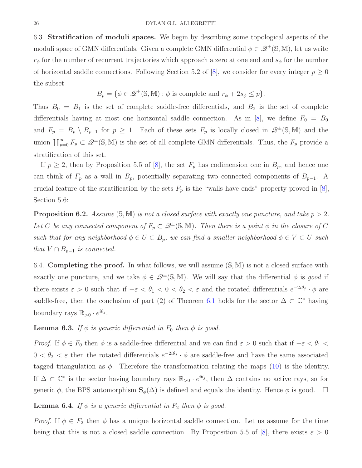6.3. Stratification of moduli spaces. We begin by describing some topological aspects of the moduli space of GMN differentials. Given a complete GMN differential  $\phi \in \mathcal{Q}^{\pm}(\mathbb{S}, \mathbb{M})$ , let us write  $r_{\phi}$  for the number of recurrent trajectories which approach a zero at one end and  $s_{\phi}$  for the number of horizontal saddle connections. Following Section 5.2 of [\[8\]](#page-35-4), we consider for every integer  $p \geq 0$ the subset

$$
B_p = \{ \phi \in \mathcal{Q}^{\pm}(\mathbb{S}, \mathbb{M}) : \phi \text{ is complete and } r_{\phi} + 2s_{\phi} \leq p \}.
$$

Thus  $B_0 = B_1$  is the set of complete saddle-free differentials, and  $B_2$  is the set of complete differentials having at most one horizontal saddle connection. As in [\[8\]](#page-35-4), we define  $F_0 = B_0$ and  $F_p = B_p \setminus B_{p-1}$  for  $p \ge 1$ . Each of these sets  $F_p$  is locally closed in  $\mathscr{Q}^{\pm}(\mathbb{S}, \mathbb{M})$  and the union  $\bigsqcup_{p=0}^{\infty} F_p \subset \mathscr{Q}^{\pm}(\mathbb{S}, \mathbb{M})$  is the set of all complete GMN differentials. Thus, the  $F_p$  provide a stratification of this set.

If  $p \geq 2$ , then by Proposition 5.5 of [\[8\]](#page-35-4), the set  $F_p$  has codimension one in  $B_p$ , and hence one can think of  $F_p$  as a wall in  $B_p$ , potentially separating two connected components of  $B_{p-1}$ . A crucial feature of the stratification by the sets  $F_p$  is the "walls have ends" property proved in [\[8\]](#page-35-4), Section 5.6:

<span id="page-25-2"></span>**Proposition 6.2.** Assume  $(\mathbb{S}, \mathbb{M})$  is not a closed surface with exactly one puncture, and take  $p > 2$ . Let C be any connected component of  $F_p \subset \mathcal{Q}^{\pm}(\mathbb{S}, \mathbb{M})$ . Then there is a point  $\phi$  in the closure of C such that for any neighborhood  $\phi \in U \subset B_p$ , we can find a smaller neighborhood  $\phi \in V \subset U$  such that  $V \cap B_{p-1}$  is connected.

6.4. Completing the proof. In what follows, we will assume  $(S, M)$  is not a closed surface with exactly one puncture, and we take  $\phi \in \mathcal{Q}^{\pm}(\mathbb{S}, \mathbb{M})$ . We will say that the differential  $\phi$  is good if there exists  $\varepsilon > 0$  such that if  $-\varepsilon < \theta_1 < 0 < \theta_2 < \varepsilon$  and the rotated differentials  $e^{-2i\theta_j} \cdot \phi$  are saddle-free, then the conclusion of part (2) of Theorem [6.1](#page-24-0) holds for the sector  $\Delta \subset \mathbb{C}^*$  having boundary rays  $\mathbb{R}_{>0} \cdot e^{i\theta_j}$ .

# <span id="page-25-0"></span>**Lemma 6.3.** If  $\phi$  is generic differential in  $F_0$  then  $\phi$  is good.

Proof. If  $\phi \in F_0$  then  $\phi$  is a saddle-free differential and we can find  $\varepsilon > 0$  such that if  $-\varepsilon < \theta_1 <$  $0 < \theta_2 < \varepsilon$  then the rotated differentials  $e^{-2i\theta_j} \cdot \phi$  are saddle-free and have the same associated tagged triangulation as  $\phi$ . Therefore the transformation relating the maps [\(10\)](#page-24-2) is the identity. If  $\Delta \subset \mathbb{C}^*$  is the sector having boundary rays  $\mathbb{R}_{>0} \cdot e^{i\theta_j}$ , then  $\Delta$  contains no active rays, so for generic  $\phi$ , the BPS automorphism  $\mathbf{S}_{\phi}(\Delta)$  is defined and equals the identity. Hence  $\phi$  is good.  $\square$ 

## <span id="page-25-1"></span>**Lemma 6.4.** If  $\phi$  is a generic differential in  $F_2$  then  $\phi$  is good.

*Proof.* If  $\phi \in F_2$  then  $\phi$  has a unique horizontal saddle connection. Let us assume for the time being that this is not a closed saddle connection. By Proposition 5.5 of [\[8\]](#page-35-4), there exists  $\varepsilon > 0$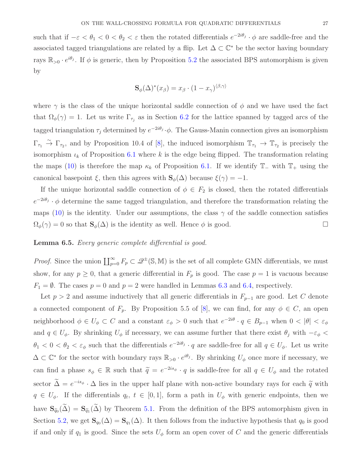such that if  $-\varepsilon < \theta_1 < 0 < \theta_2 < \varepsilon$  then the rotated differentials  $e^{-2i\theta_j} \cdot \phi$  are saddle-free and the associated tagged triangulations are related by a flip. Let  $\Delta \subset \mathbb{C}^*$  be the sector having boundary rays  $\mathbb{R}_{>0} \cdot e^{i\theta_j}$ . If  $\phi$  is generic, then by Proposition [5.2](#page-21-0) the associated BPS automorphism is given by

$$
\mathbf{S}_{\phi}(\Delta)^{*}(x_{\beta})=x_{\beta}\cdot(1-x_{\gamma})^{\langle\beta,\gamma\rangle}
$$

where  $\gamma$  is the class of the unique horizontal saddle connection of  $\phi$  and we have used the fact that  $\Omega_{\phi}(\gamma) = 1$ . Let us write  $\Gamma_{\tau_j}$  as in Section [6.2](#page-24-3) for the lattice spanned by tagged arcs of the tagged triangulation  $\tau_j$  determined by  $e^{-2i\theta_j}\cdot\phi$ . The Gauss-Manin connection gives an isomorphism  $\Gamma_{\tau_1} \stackrel{\sim}{\to} \Gamma_{\tau_2}$ , and by Proposition 10.4 of [\[8\]](#page-35-4), the induced isomorphism  $\mathbb{T}_{\tau_1} \to \mathbb{T}_{\tau_2}$  is precisely the isomorphism  $\iota_k$  of Proposition [6.1](#page-23-0) where k is the edge being flipped. The transformation relating the maps [\(10\)](#page-24-2) is therefore the map  $\kappa_k$  of Proposition [6.1.](#page-23-0) If we identify  $\mathbb{T}_-$  with  $\mathbb{T}_+$  using the canonical basepoint  $\xi$ , then this agrees with  $\mathbf{S}_{\phi}(\Delta)$  because  $\xi(\gamma) = -1$ .

If the unique horizontal saddle connection of  $\phi \in F_2$  is closed, then the rotated differentials  $e^{-2i\theta_j} \cdot \phi$  determine the same tagged triangulation, and therefore the transformation relating the maps [\(10\)](#page-24-2) is the identity. Under our assumptions, the class  $\gamma$  of the saddle connection satisfies  $\Omega_{\phi}(\gamma) = 0$  so that  $\mathbf{S}_{\phi}(\Delta)$  is the identity as well. Hence  $\phi$  is good.

## <span id="page-26-0"></span>Lemma 6.5. Every generic complete differential is good.

*Proof.* Since the union  $\prod_{p=0}^{\infty} F_p \subset \mathcal{Q}^{\pm}(\mathbb{S}, \mathbb{M})$  is the set of all complete GMN differentials, we must show, for any  $p \geq 0$ , that a generic differential in  $F_p$  is good. The case  $p = 1$  is vacuous because  $F_1 = \emptyset$ . The cases  $p = 0$  and  $p = 2$  were handled in Lemmas [6.3](#page-25-0) and [6.4,](#page-25-1) respectively.

Let  $p > 2$  and assume inductively that all generic differentials in  $F_{p-1}$  are good. Let C denote a connected component of  $F_p$ . By Proposition 5.5 of [\[8\]](#page-35-4), we can find, for any  $\phi \in C$ , an open neighborhood  $\phi \in U_{\phi} \subset C$  and a constant  $\varepsilon_{\phi} > 0$  such that  $e^{-2i\theta} \cdot q \in B_{p-1}$  when  $0 < |\theta| < \varepsilon_{\phi}$ and  $q \in U_{\phi}$ . By shrinking  $U_{\phi}$  if necessary, we can assume further that there exist  $\theta_j$  with  $-\varepsilon_{\phi}$  <  $\theta_1 < 0 < \theta_2 < \varepsilon_{\phi}$  such that the differentials  $e^{-2i\theta_j} \cdot q$  are saddle-free for all  $q \in U_{\phi}$ . Let us write  $\Delta \subset \mathbb{C}^*$  for the sector with boundary rays  $\mathbb{R}_{>0} \cdot e^{i\theta_j}$ . By shrinking  $U_\phi$  once more if necessary, we can find a phase  $s_{\phi} \in \mathbb{R}$  such that  $\tilde{q} = e^{-2is_{\phi}} \cdot q$  is saddle-free for all  $q \in U_{\phi}$  and the rotated sector  $\Delta = e^{-is_{\phi}} \cdot \Delta$  lies in the upper half plane with non-active boundary rays for each  $\tilde{q}$  with  $q \in U_{\phi}$ . If the differentials  $q_t, t \in [0,1]$ , form a path in  $U_{\phi}$  with generic endpoints, then we have  $S_{\tilde{q}_0}(\Delta) = S_{\tilde{q}_1}(\Delta)$  by Theorem [5.1.](#page-21-1) From the definition of the BPS automorphism given in Section [5.2,](#page-20-2) we get  $\mathbf{S}_{q_0}(\Delta) = \mathbf{S}_{q_1}(\Delta)$ . It then follows from the inductive hypothesis that  $q_0$  is good if and only if  $q_1$  is good. Since the sets  $U_{\phi}$  form an open cover of C and the generic differentials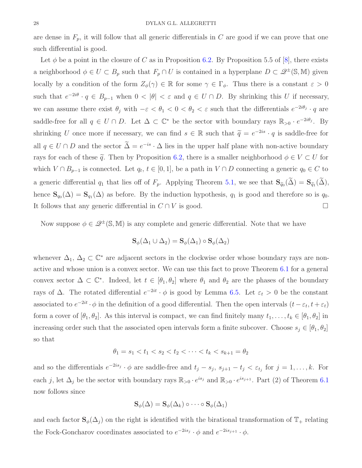are dense in  $F_p$ , it will follow that all generic differentials in C are good if we can prove that one such differential is good.

Let  $\phi$  be a point in the closure of C as in Proposition [6.2.](#page-25-2) By Proposition 5.5 of [\[8\]](#page-35-4), there exists a neighborhood  $\phi \in U \subset B_p$  such that  $F_p \cap U$  is contained in a hyperplane  $D \subset \mathcal{Q}^{\pm}(\mathbb{S}, \mathbb{M})$  given locally by a condition of the form  $Z_{\phi}(\gamma) \in \mathbb{R}$  for some  $\gamma \in \Gamma_{\phi}$ . Thus there is a constant  $\varepsilon > 0$ such that  $e^{-2i\theta} \cdot q \in B_{p-1}$  when  $0 < |\theta| < \varepsilon$  and  $q \in U \cap D$ . By shrinking this U if necessary, we can assume there exist  $\theta_j$  with  $-\varepsilon < \theta_1 < 0 < \theta_2 < \varepsilon$  such that the differentials  $e^{-2i\theta_j} \cdot q$  are saddle-free for all  $q \in U \cap D$ . Let  $\Delta \subset \mathbb{C}^*$  be the sector with boundary rays  $\mathbb{R}_{>0} \cdot e^{-2i\theta_j}$ . By shrinking U once more if necessary, we can find  $s \in \mathbb{R}$  such that  $\tilde{q} = e^{-2is} \cdot q$  is saddle-free for all  $q \in U \cap D$  and the sector  $\Delta = e^{-is} \cdot \Delta$  lies in the upper half plane with non-active boundary rays for each of these  $\tilde{q}$ . Then by Proposition [6.2,](#page-25-2) there is a smaller neighborhood  $\phi \in V \subset U$  for which  $V \cap B_{p-1}$  is connected. Let  $q_t, t \in [0,1]$ , be a path in  $V \cap D$  connecting a generic  $q_0 \in C$  to a generic differential  $q_1$  that lies off of  $F_p$ . Applying Theorem [5.1,](#page-21-1) we see that  $\mathbf{S}_{\widetilde{q}_0}(\Delta) = \mathbf{S}_{\widetilde{q}_1}(\Delta)$ , hence  $\mathbf{S}_{q_0}(\Delta) = \mathbf{S}_{q_1}(\Delta)$  as before. By the induction hypothesis,  $q_1$  is good and therefore so is  $q_0$ . It follows that any generic differential in  $C \cap V$  is good.

Now suppose  $\phi \in \mathcal{Q}^{\pm}(\mathbb{S}, \mathbb{M})$  is any complete and generic differential. Note that we have

$$
\mathbf{S}_{\phi}(\Delta_1 \cup \Delta_2) = \mathbf{S}_{\phi}(\Delta_1) \circ \mathbf{S}_{\phi}(\Delta_2)
$$

whenever  $\Delta_1, \Delta_2 \subset \mathbb{C}^*$  are adjacent sectors in the clockwise order whose boundary rays are nonactive and whose union is a convex sector. We can use this fact to prove Theorem [6.1](#page-24-0) for a general convex sector  $\Delta \subset \mathbb{C}^*$ . Indeed, let  $t \in [\theta_1, \theta_2]$  where  $\theta_1$  and  $\theta_2$  are the phases of the boundary rays of  $\Delta$ . The rotated differential  $e^{-2it} \cdot \phi$  is good by Lemma [6.5.](#page-26-0) Let  $\varepsilon_t > 0$  be the constant associated to  $e^{-2it} \cdot \phi$  in the definition of a good differential. Then the open intervals  $(t - \varepsilon_t, t + \varepsilon_t)$ form a cover of  $[\theta_1, \theta_2]$ . As this interval is compact, we can find finitely many  $t_1, \ldots, t_k \in [\theta_1, \theta_2]$  in increasing order such that the associated open intervals form a finite subcover. Choose  $s_j \in [\theta_1, \theta_2]$ so that

$$
\theta_1 = s_1 < t_1 < s_2 < t_2 < \dots < t_k < s_{k+1} = \theta_2
$$

and so the differentials  $e^{-2is_j} \cdot \phi$  are saddle-free and  $t_j - s_j$ ,  $s_{j+1} - t_j < \varepsilon_{t_j}$  for  $j = 1, ..., k$ . For each j, let  $\Delta_j$  be the sector with boundary rays  $\mathbb{R}_{>0} \cdot e^{is_j}$  and  $\mathbb{R}_{>0} \cdot e^{is_{j+1}}$ . Part (2) of Theorem [6.1](#page-24-0) now follows since

$$
\mathbf{S}_{\phi}(\Delta) = \mathbf{S}_{\phi}(\Delta_k) \circ \cdots \circ \mathbf{S}_{\phi}(\Delta_1)
$$

and each factor  $\mathbf{S}_{\phi}(\Delta_i)$  on the right is identified with the birational transformation of  $\mathbb{T}_+$  relating the Fock-Goncharov coordinates associated to  $e^{-2is_j} \cdot \phi$  and  $e^{-2is_{j+1}} \cdot \phi$ .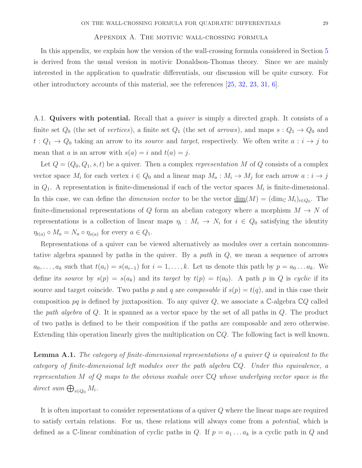#### Appendix A. The motivic wall-crossing formula

<span id="page-28-0"></span>In this appendix, we explain how the version of the wall-crossing formula considered in Section [5](#page-19-1) is derived from the usual version in motivic Donaldson-Thomas theory. Since we are mainly interested in the application to quadratic differentials, our discussion will be quite cursory. For other introductory accounts of this material, see the references [\[25,](#page-36-4) [32,](#page-36-15) [23,](#page-36-16) [31,](#page-36-14) [6\]](#page-35-14).

A.1. Quivers with potential. Recall that a *quiver* is simply a directed graph. It consists of a finite set  $Q_0$  (the set of vertices), a finite set  $Q_1$  (the set of arrows), and maps  $s: Q_1 \to Q_0$  and  $t: Q_1 \to Q_0$  taking an arrow to its *source* and *target*, respectively. We often write  $a: i \to j$  to mean that a is an arrow with  $s(a) = i$  and  $t(a) = j$ .

Let  $Q = (Q_0, Q_1, s, t)$  be a quiver. Then a complex representation M of Q consists of a complex vector space  $M_i$  for each vertex  $i \in Q_0$  and a linear map  $M_a : M_i \to M_j$  for each arrow  $a : i \to j$ in  $Q_1$ . A representation is finite-dimensional if each of the vector spaces  $M_i$  is finite-dimensional. In this case, we can define the *dimension vector* to be the vector  $\underline{\dim}(M) = (\dim_{\mathbb{C}} M_i)_{i \in Q_0}$ . The finite-dimensional representations of Q form an abelian category where a morphism  $M \to N$  of representations is a collection of linear maps  $\eta_i : M_i \to N_i$  for  $i \in Q_0$  satisfying the identity  $\eta_{t(a)} \circ M_a = N_a \circ \eta_{s(a)}$  for every  $a \in Q_1$ .

Representations of a quiver can be viewed alternatively as modules over a certain noncommutative algebra spanned by paths in the quiver. By a path in  $Q$ , we mean a sequence of arrows  $a_0, \ldots, a_k$  such that  $t(a_i) = s(a_{i-1})$  for  $i = 1, \ldots, k$ . Let us denote this path by  $p = a_0 \ldots a_k$ . We define its source by  $s(p) = s(a_k)$  and its target by  $t(p) = t(a_0)$ . A path p in Q is cyclic if its source and target coincide. Two paths p and q are *composable* if  $s(p) = t(q)$ , and in this case their composition pq is defined by juxtaposition. To any quiver  $Q$ , we associate a  $\mathbb{C}\text{-algebra } \mathbb{C}Q$  called the path algebra of Q. It is spanned as a vector space by the set of all paths in Q. The product of two paths is defined to be their composition if the paths are composable and zero otherwise. Extending this operation linearly gives the multiplication on  $\mathbb{C}Q$ . The following fact is well known.

**Lemma A.1.** The category of finite-dimensional representations of a quiver  $Q$  is equivalent to the category of finite-dimensional left modules over the path algebra CQ. Under this equivalence, a representation M of Q maps to the obvious module over  $\mathbb{C}Q$  whose underlying vector space is the direct sum  $\bigoplus_{i\in Q_0} M_i$ .

It is often important to consider representations of a quiver Q where the linear maps are required to satisfy certain relations. For us, these relations will always come from a potential, which is defined as a C-linear combination of cyclic paths in Q. If  $p = a_1 \dots a_k$  is a cyclic path in Q and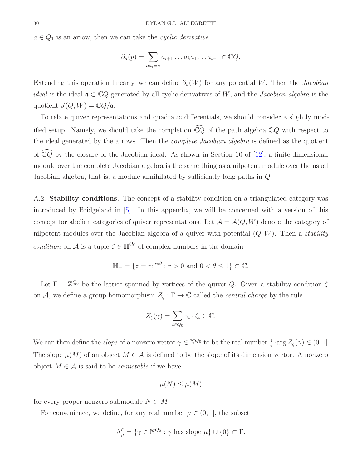$a \in Q_1$  is an arrow, then we can take the cyclic derivative

$$
\partial_a(p) = \sum_{i:a_i=a} a_{i+1} \dots a_k a_1 \dots a_{i-1} \in \mathbb{C}Q.
$$

Extending this operation linearly, we can define  $\partial_a(W)$  for any potential W. Then the Jacobian *ideal* is the ideal  $a \text{ }\subset \mathbb{C}Q$  generated by all cyclic derivatives of W, and the *Jacobian algebra* is the quotient  $J(Q, W) = \mathbb{C}Q/\mathfrak{a}$ .

To relate quiver representations and quadratic differentials, we should consider a slightly modified setup. Namely, we should take the completion  $\widehat{\mathbb{C}Q}$  of the path algebra  $\mathbb{C}Q$  with respect to the ideal generated by the arrows. Then the *complete Jacobian algebra* is defined as the quotient of  $\widehat{\mathbb{C}Q}$  by the closure of the Jacobian ideal. As shown in Section 10 of [\[12\]](#page-35-15), a finite-dimensional module over the complete Jacobian algebra is the same thing as a nilpotent module over the usual Jacobian algebra, that is, a module annihilated by sufficiently long paths in Q.

A.2. **Stability conditions.** The concept of a stability condition on a triangulated category was introduced by Bridgeland in [\[5\]](#page-35-3). In this appendix, we will be concerned with a version of this concept for abelian categories of quiver representations. Let  $\mathcal{A} = \mathcal{A}(Q, W)$  denote the category of nilpotent modules over the Jacobian algebra of a quiver with potential  $(Q, W)$ . Then a *stability* condition on A is a tuple  $\zeta \in \mathbb{H}^{Q_0}_+$  of complex numbers in the domain

$$
\mathbb{H}_{+} = \{ z = re^{i\pi\theta} : r > 0 \text{ and } 0 < \theta \le 1 \} \subset \mathbb{C}.
$$

Let  $\Gamma = \mathbb{Z}^{Q_0}$  be the lattice spanned by vertices of the quiver Q. Given a stability condition  $\zeta$ on A, we define a group homomorphism  $Z_{\zeta} : \Gamma \to \mathbb{C}$  called the *central charge* by the rule

$$
Z_{\zeta}(\gamma) = \sum_{i \in Q_0} \gamma_i \cdot \zeta_i \in \mathbb{C}.
$$

We can then define the *slope* of a nonzero vector  $\gamma \in \mathbb{N}^{\mathcal{Q}_0}$  to be the real number  $\frac{1}{\pi} \cdot \arg Z_{\zeta}(\gamma) \in (0, 1]$ . The slope  $\mu(M)$  of an object  $M \in \mathcal{A}$  is defined to be the slope of its dimension vector. A nonzero object  $M \in \mathcal{A}$  is said to be *semistable* if we have

$$
\mu(N) \le \mu(M)
$$

for every proper nonzero submodule  $N \subset M$ .

For convenience, we define, for any real number  $\mu \in (0, 1]$ , the subset

$$
\Lambda_{\mu}^{\zeta} = \{ \gamma \in \mathbb{N}^{Q_0} : \gamma \text{ has slope } \mu \} \cup \{0\} \subset \Gamma.
$$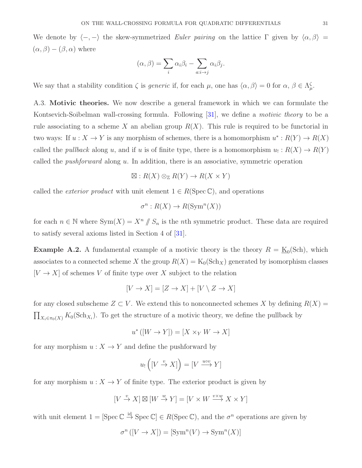We denote by  $\langle -, - \rangle$  the skew-symmetrized Euler pairing on the lattice Γ given by  $\langle \alpha, \beta \rangle =$  $(\alpha, \beta) - (\beta, \alpha)$  where

$$
(\alpha, \beta) = \sum_{i} \alpha_i \beta_i - \sum_{a:i \to j} \alpha_i \beta_j.
$$

We say that a stability condition  $\zeta$  is *generic* if, for each  $\mu$ , one has  $\langle \alpha, \beta \rangle = 0$  for  $\alpha, \beta \in \Lambda_{\mu}^{\zeta}$ .

A.3. Motivic theories. We now describe a general framework in which we can formulate the Kontsevich-Soibelman wall-crossing formula. Following [\[31\]](#page-36-14), we define a motivic theory to be a rule associating to a scheme X an abelian group  $R(X)$ . This rule is required to be functorial in two ways: If  $u: X \to Y$  is any morphism of schemes, there is a homomorphism  $u^*: R(Y) \to R(X)$ called the *pullback* along u, and if u is of finite type, there is a homomorphism  $u_! : R(X) \to R(Y)$ called the *pushforward* along  $u$ . In addition, there is an associative, symmetric operation

$$
\boxtimes: R(X) \otimes_{\mathbb{Z}} R(Y) \to R(X \times Y)
$$

called the *exterior product* with unit element  $1 \in R(\text{Spec } \mathbb{C})$ , and operations

$$
\sigma^n: R(X) \to R(\text{Sym}^n(X))
$$

for each  $n \in \mathbb{N}$  where  $Sym(X) = X^n \mid S_n$  is the *n*th symmetric product. These data are required to satisfy several axioms listed in Section 4 of [\[31\]](#page-36-14).

**Example A.2.** A fundamental example of a motivic theory is the theory  $R = \underline{K}_0(\text{Sch})$ , which associates to a connected scheme X the group  $R(X) = K_0(\text{Sch}_X)$  generated by isomorphism classes  $[V \to X]$  of schemes V of finite type over X subject to the relation

$$
[V \to X] = [Z \to X] + [V \setminus Z \to X]
$$

for any closed subscheme  $Z \subset V$ . We extend this to nonconnected schemes X by defining  $R(X) =$  $\prod_{X_i \in \pi_0(X)} K_0(\text{Sch}_{X_i})$ . To get the structure of a motivic theory, we define the pullback by

$$
u^*([W \to Y]) = [X \times_Y W \to X]
$$

for any morphism  $u: X \to Y$  and define the pushforward by

$$
u_!([V \xrightarrow{v} X]) = [V \xrightarrow{u \circ v} Y]
$$

for any morphism  $u: X \to Y$  of finite type. The exterior product is given by

$$
[V \xrightarrow{v} X] \boxtimes [W \xrightarrow{w} Y] = [V \times W \xrightarrow{v \times w} X \times Y]
$$

with unit element  $1 = [\text{Spec } \mathbb{C} \stackrel{\text{id}}{\rightarrow} \text{Spec } \mathbb{C}] \in R(\text{Spec } \mathbb{C}),$  and the  $\sigma^n$  operations are given by

$$
\sigma^n([V \to X]) = [\text{Sym}^n(V) \to \text{Sym}^n(X)]
$$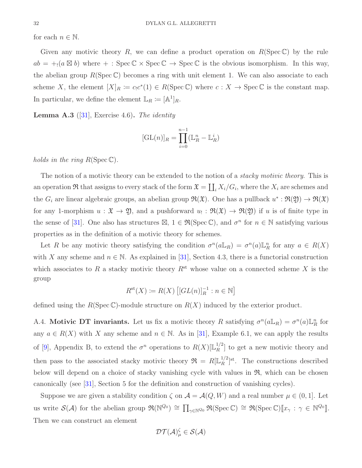for each  $n \in \mathbb{N}$ .

Given any motivic theory R, we can define a product operation on  $R(Spec \mathbb{C})$  by the rule  $ab = +_1(a \boxtimes b)$  where  $+ : \text{Spec } \mathbb{C} \times \text{Spec } \mathbb{C} \to \text{Spec } \mathbb{C}$  is the obvious isomorphism. In this way, the abelian group  $R(\text{Spec }\mathbb{C})$  becomes a ring with unit element 1. We can also associate to each scheme X, the element  $[X]_R \coloneqq c_1 c^*(1) \in R(\text{Spec }\mathbb{C})$  where  $c: X \to \text{Spec }\mathbb{C}$  is the constant map. In particular, we define the element  $\mathbb{L}_R \coloneqq [\mathbb{A}^1]_R$ .

**Lemma A.3** ([\[31\]](#page-36-14), Exercise 4.6). The identity

$$
[\mathrm{GL}(n)]_R = \prod_{i=0}^{n-1} (\mathbb{L}_R^n - \mathbb{L}_R^i)
$$

holds in the ring  $R(\text{Spec }\mathbb{C})$ .

The notion of a motivic theory can be extended to the notion of a *stacky motivic theory*. This is an operation  $\Re$  that assigns to every stack of the form  $\mathfrak{X} = \coprod_i X_i/G_i$ , where the  $X_i$  are schemes and the  $G_i$  are linear algebraic groups, an abelian group  $\mathfrak{R}(\mathfrak{X})$ . One has a pullback  $u^*: \mathfrak{R}(\mathfrak{Y}) \to \mathfrak{R}(\mathfrak{X})$ for any 1-morphism  $u: \mathfrak{X} \to \mathfrak{Y}$ , and a pushforward  $u_! : \mathfrak{R}(\mathfrak{X}) \to \mathfrak{R}(\mathfrak{Y})$  if u is of finite type in the sense of [\[31\]](#page-36-14). One also has structures  $\mathbb{Z}, 1 \in \mathfrak{R}(\mathrm{Spec}\,\mathbb{C})$ , and  $\sigma^n$  for  $n \in \mathbb{N}$  satisfying various properties as in the definition of a motivic theory for schemes.

Let R be any motivic theory satisfying the condition  $\sigma^n(a\mathbb{L}_R) = \sigma^n(a)\mathbb{L}_R^n$  for any  $a \in R(X)$ with X any scheme and  $n \in \mathbb{N}$ . As explained in [\[31\]](#page-36-14), Section 4.3, there is a functorial construction which associates to R a stacky motivic theory  $R^{\text{st}}$  whose value on a connected scheme X is the group

$$
R^{\mathrm{st}}(X) \coloneqq R(X) \left[ [GL(n)]_R^{-1} : n \in \mathbb{N} \right]
$$

defined using the  $R(Spec \mathbb{C})$ -module structure on  $R(X)$  induced by the exterior product.

A.4. Motivic DT invariants. Let us fix a motivic theory R satisfying  $\sigma^n(a\mathbb{L}_R) = \sigma^n(a)\mathbb{L}_R^n$  for any  $a \in R(X)$  with X any scheme and  $n \in \mathbb{N}$ . As in [\[31\]](#page-36-14), Example 6.1, we can apply the results of [\[9\]](#page-35-12), Appendix B, to extend the  $\sigma^n$  operations to  $R(X)[\mathbb{L}_R^{1/2}]$  $\binom{1}{R}$  to get a new motivic theory and then pass to the associated stacky motivic theory  $\mathfrak{R} = R[\mathbb{L}_R^{1/2}]$  $_R^{1/2}$ <sup>[st.</sup>]<sup>st</sup>. The constructions described below will depend on a choice of stacky vanishing cycle with values in  $\mathfrak{R}$ , which can be chosen canonically (see [\[31\]](#page-36-14), Section 5 for the definition and construction of vanishing cycles).

Suppose we are given a stability condition  $\zeta$  on  $\mathcal{A} = \mathcal{A}(Q, W)$  and a real number  $\mu \in (0, 1]$ . Let us write  $\mathcal{S}(\mathcal{A})$  for the abelian group  $\mathfrak{R}(\mathbb{N}^{Q_0}) \cong \prod_{\gamma \in \mathbb{N}^{Q_0}} \mathfrak{R}(\mathrm{Spec} \,\mathbb{C}) \cong \mathfrak{R}(\mathrm{Spec} \,\mathbb{C})[\![x_\gamma : \gamma \in \mathbb{N}^{Q_0}]\!]$ . Then we can construct an element

$$
\mathcal{DT}(\mathcal{A})^{\zeta}_{\mu} \in \mathcal{S}(\mathcal{A})
$$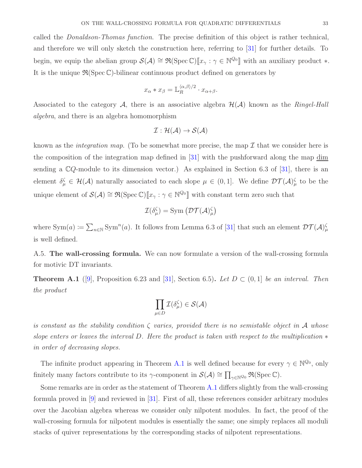called the Donaldson-Thomas function. The precise definition of this object is rather technical, and therefore we will only sketch the construction here, referring to [\[31\]](#page-36-14) for further details. To begin, we equip the abelian group  $\mathcal{S}(\mathcal{A}) \cong \mathfrak{R}(\mathrm{Spec}\,\mathbb{C})[\![x_\gamma : \gamma \in \mathbb{N}^{Q_0}]\!]$  with an auxiliary product \*. It is the unique  $\mathfrak{R}(\text{Spec }\mathbb{C})$ -bilinear continuous product defined on generators by

$$
x_{\alpha} * x_{\beta} = \mathbb{L}_{R}^{\langle \alpha, \beta \rangle/2} \cdot x_{\alpha + \beta}.
$$

Associated to the category A, there is an associative algebra  $\mathcal{H}(\mathcal{A})$  known as the Ringel-Hall algebra, and there is an algebra homomorphism

$$
\mathcal{I}:\mathcal{H}(\mathcal{A})\rightarrow\mathcal{S}(\mathcal{A})
$$

known as the *integration map*. (To be somewhat more precise, the map  $\mathcal I$  that we consider here is the composition of the integration map defined in [\[31\]](#page-36-14) with the pushforward along the map dim sending a  $\mathbb{C}Q$ -module to its dimension vector.) As explained in Section 6.3 of [\[31\]](#page-36-14), there is an element  $\delta_{\mu}^{\zeta} \in \mathcal{H}(\mathcal{A})$  naturally associated to each slope  $\mu \in (0,1]$ . We define  $\mathcal{DT}(\mathcal{A})_{\mu}^{\zeta}$  to be the unique element of  $\mathcal{S}(\mathcal{A}) \cong \mathfrak{R}(\mathrm{Spec}\,\mathbb{C})[\![x_\gamma:\gamma\in\mathbb{N}^{Q_0}]\!]$  with constant term zero such that

$$
\mathcal{I}(\delta_\mu^\zeta) = \mathrm{Sym} \left( \mathcal{DT}(\mathcal{A})_\mu^\zeta \right)
$$

where  $\text{Sym}(a) \coloneqq \sum_{n \in \mathbb{N}} \text{Sym}^n(a)$ . It follows from Lemma 6.3 of [\[31\]](#page-36-14) that such an element  $\mathcal{DT}(\mathcal{A})^{\zeta}_{\mu}$ is well defined.

A.5. The wall-crossing formula. We can now formulate a version of the wall-crossing formula for motivic DT invariants.

<span id="page-32-0"></span>**Theorem A.1** ([\[9\]](#page-35-12), Proposition 6.23 and [\[31\]](#page-36-14), Section 6.5). Let  $D \subset (0,1]$  be an interval. Then the product

$$
\prod_{\mu\in D} \mathcal{I}(\delta_\mu^\zeta)\in \mathcal{S}(\mathcal{A})
$$

is constant as the stability condition  $\zeta$  varies, provided there is no semistable object in A whose slope enters or leaves the interval D. Here the product is taken with respect to the multiplication  $*$ in order of decreasing slopes.

The infinite product appearing in Theorem [A.1](#page-32-0) is well defined because for every  $\gamma \in \mathbb{N}^{\mathbb{Q}_0}$ , only finitely many factors contribute to its  $\gamma$ -component in  $\mathcal{S}(\mathcal{A}) \cong \prod_{\gamma \in \mathbb{N}^{Q_0}} \Re(\text{Spec } \mathbb{C}).$ 

Some remarks are in order as the statement of Theorem [A.1](#page-32-0) differs slightly from the wall-crossing formula proved in [\[9\]](#page-35-12) and reviewed in [\[31\]](#page-36-14). First of all, these references consider arbitrary modules over the Jacobian algebra whereas we consider only nilpotent modules. In fact, the proof of the wall-crossing formula for nilpotent modules is essentially the same; one simply replaces all moduli stacks of quiver representations by the corresponding stacks of nilpotent representations.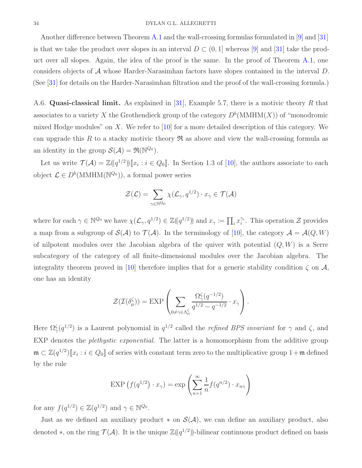Another difference between Theorem [A.1](#page-32-0) and the wall-crossing formulas formulated in [\[9\]](#page-35-12) and [\[31\]](#page-36-14) is that we take the product over slopes in an interval  $D \subset (0, 1]$  whereas [\[9\]](#page-35-12) and [\[31\]](#page-36-14) take the product over all slopes. Again, the idea of the proof is the same. In the proof of Theorem [A.1,](#page-32-0) one considers objects of  $\mathcal A$  whose Harder-Narasimhan factors have slopes contained in the interval  $D$ . (See [\[31\]](#page-36-14) for details on the Harder-Narasimhan filtration and the proof of the wall-crossing formula.)

A.6. Quasi-classical limit. As explained in [\[31\]](#page-36-14), Example 5.7, there is a motivic theory R that associates to a variety X the Grothendieck group of the category  $D^b(\text{MMHM}(X))$  of "monodromic mixed Hodge modules" on X. We refer to  $[10]$  for a more detailed description of this category. We can upgrade this R to a stacky motivic theory  $\Re$  as above and view the wall-crossing formula as an identity in the group  $\mathcal{S}(\mathcal{A}) = \mathfrak{R}(\mathbb{N}^{\mathbb{Q}_0})$ .

Let us write  $\mathcal{T}(\mathcal{A}) = \mathbb{Z}((q^{1/2}))[x_i : i \in Q_0]$ . In Section 1.3 of [\[10\]](#page-35-16), the authors associate to each object  $\mathcal{L} \in D^b(\text{MMHM}(\mathbb{N}^{\mathcal{Q}_0}))$ , a formal power series

$$
\mathcal{Z}(\mathcal{L}) = \sum_{\gamma \in \mathbb{N}^{Q_0}} \chi(\mathcal{L}_{\gamma}, q^{1/2}) \cdot x_{\gamma} \in \mathcal{T}(\mathcal{A})
$$

where for each  $\gamma \in \mathbb{N}^{\mathcal{Q}_0}$  we have  $\chi(\mathcal{L}_{\gamma}, q^{1/2}) \in \mathbb{Z}((q^{1/2}))$  and  $x_{\gamma} := \prod_i x_i^{\gamma_i}$  $\hat{i}$ . This operation  $\mathcal{Z}$  provides a map from a subgroup of  $\mathcal{S}(\mathcal{A})$  to  $\mathcal{T}(\mathcal{A})$ . In the terminology of [\[10\]](#page-35-16), the category  $\mathcal{A} = \mathcal{A}(Q, W)$ of nilpotent modules over the Jacobian algebra of the quiver with potential  $(Q, W)$  is a Serre subcategory of the category of all finite-dimensional modules over the Jacobian algebra. The integrality theorem proved in [\[10\]](#page-35-16) therefore implies that for a generic stability condition  $\zeta$  on  $\mathcal{A}$ , one has an identity

$$
\mathcal{Z}(\mathcal{I}(\delta^{\zeta}_{\mu})) = \text{EXP}\left(\sum_{0 \neq \gamma \in \Lambda_{\mu}^{\zeta}} \frac{\Omega_{\gamma}^{\zeta}(q^{-1/2})}{q^{1/2} - q^{-1/2}} \cdot x_{\gamma}\right).
$$

Here  $\Omega^{\zeta}_{\gamma}(q^{1/2})$  is a Laurent polynomial in  $q^{1/2}$  called the *refined BPS invariant* for  $\gamma$  and  $\zeta$ , and EXP denotes the *plethystic exponential*. The latter is a homomorphism from the additive group  $\mathfrak{m} \subset \mathbb{Z}(q^{1/2})[\![x_i : i \in Q_0]\!]$  of series with constant term zero to the multiplicative group  $1+\mathfrak{m}$  defined by the rule

$$
\text{EXP}\left(f(q^{1/2}) \cdot x_{\gamma}\right) = \exp\left(\sum_{n=1}^{\infty} \frac{1}{n} f(q^{n/2}) \cdot x_{n\gamma}\right)
$$

for any  $f(q^{1/2}) \in \mathbb{Z}(q^{1/2})$  and  $\gamma \in \mathbb{N}^{Q_0}$ .

Just as we defined an auxiliary product  $*$  on  $\mathcal{S}(\mathcal{A})$ , we can define an auxiliary product, also denoted  $*$ , on the ring  $\mathcal{T}(\mathcal{A})$ . It is the unique  $\mathbb{Z}(\!(q^{1/2})\!)$ -bilinear continuous product defined on basis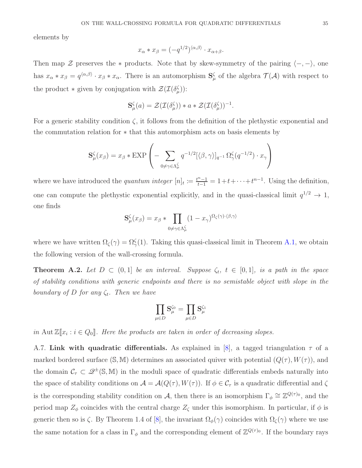elements by

$$
x_{\alpha} * x_{\beta} = (-q^{1/2})^{\langle \alpha, \beta \rangle} \cdot x_{\alpha + \beta}.
$$

Then map  $\mathcal Z$  preserves the  $*$  products. Note that by skew-symmetry of the pairing  $\langle -, - \rangle$ , one has  $x_{\alpha} * x_{\beta} = q^{\langle \alpha, \beta \rangle} \cdot x_{\beta} * x_{\alpha}$ . There is an automorphism  $S_{\mu}^{\zeta}$  of the algebra  $\mathcal{T}(\mathcal{A})$  with respect to the product  $*$  given by conjugation with  $\mathcal{Z}(\mathcal{I}(\delta_{\mu}^{\zeta}))$ :

$$
\mathbf{S}_{\mu}^{\zeta}(a) = \mathcal{Z}(\mathcal{I}(\delta_{\mu}^{\zeta})) * a * \mathcal{Z}(\mathcal{I}(\delta_{\mu}^{\zeta}))^{-1}.
$$

For a generic stability condition  $\zeta$ , it follows from the definition of the plethystic exponential and the commutation relation for ∗ that this automorphism acts on basis elements by

$$
\mathbf{S}_{\mu}^{\zeta}(x_{\beta}) = x_{\beta} * \text{EXP}\left(-\sum_{0 \neq \gamma \in \Lambda_{\mu}^{\zeta}} q^{-1/2} [\langle \beta, \gamma \rangle]_{q^{-1}} \Omega_{\gamma}^{\zeta}(q^{-1/2}) \cdot x_{\gamma}\right)
$$

where we have introduced the *quantum integer*  $[n]_t := \frac{t^{n}-1}{t-1} = 1+t+\cdots+t^{n-1}$ . Using the definition, one can compute the plethystic exponential explicitly, and in the quasi-classical limit  $q^{1/2} \to 1$ , one finds

$$
\mathbf{S}_{\mu}^{\zeta}(x_{\beta}) = x_{\beta} * \prod_{0 \neq \gamma \in \Lambda_{\mu}^{\zeta}} (1 - x_{\gamma})^{\Omega_{\zeta}(\gamma) \cdot \langle \beta, \gamma \rangle}
$$

where we have written  $\Omega_{\zeta}(\gamma) = \Omega_{\gamma}^{\zeta}(1)$ . Taking this quasi-classical limit in Theorem [A.1,](#page-32-0) we obtain the following version of the wall-crossing formula.

<span id="page-34-0"></span>**Theorem A.2.** Let  $D \subset (0,1]$  be an interval. Suppose  $\zeta_t$ ,  $t \in [0,1]$ , is a path in the space of stability conditions with generic endpoints and there is no semistable object with slope in the boundary of D for any  $\zeta_t$ . Then we have

$$
\prod_{\mu\in D}\mathbf{S}_\mu^{\zeta_0}=\prod_{\mu\in D}\mathbf{S}_\mu^{\zeta_1}
$$

in Aut  $\mathbb{Z}[\![x_i : i \in Q_0]\!]$ . Here the products are taken in order of decreasing slopes.

A.7. Link with quadratic differentials. As explained in [\[8\]](#page-35-4), a tagged triangulation  $\tau$  of a marked bordered surface  $(S, M)$  determines an associated quiver with potential  $(Q(\tau), W(\tau))$ , and the domain  $\mathcal{C}_{\tau} \subset \mathcal{Q}^{\pm}(\mathbb{S}, \mathbb{M})$  in the moduli space of quadratic differentials embeds naturally into the space of stability conditions on  $\mathcal{A} = \mathcal{A}(Q(\tau), W(\tau))$ . If  $\phi \in \mathcal{C}_{\tau}$  is a quadratic differential and  $\zeta$ is the corresponding stability condition on A, then there is an isomorphism  $\Gamma_{\phi} \cong \mathbb{Z}^{Q(\tau)_0}$ , and the period map  $Z_{\phi}$  coincides with the central charge  $Z_{\zeta}$  under this isomorphism. In particular, if  $\phi$  is generic then so is  $\zeta$ . By Theorem 1.4 of [\[8\]](#page-35-4), the invariant  $\Omega_{\phi}(\gamma)$  coincides with  $\Omega_{\zeta}(\gamma)$  where we use the same notation for a class in  $\Gamma_{\phi}$  and the corresponding element of  $\mathbb{Z}^{Q(\tau)_0}$ . If the boundary rays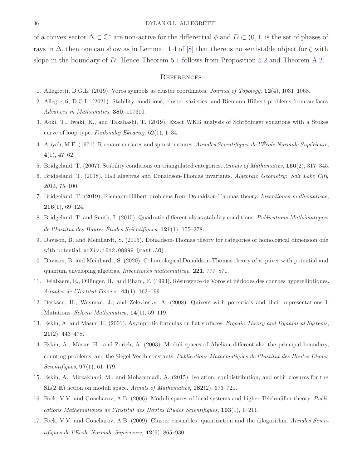of a convex sector  $\Delta \subset \mathbb{C}^*$  are non-active for the differential  $\phi$  and  $D \subset (0,1]$  is the set of phases of rays in  $\Delta$ , then one can show as in Lemma 11.4 of [\[8\]](#page-35-4) that there is no semistable object for  $\zeta$  with slope in the boundary of D. Hence Theorem [5.1](#page-21-1) follows from Proposition [5.2](#page-21-0) and Theorem [A.2.](#page-34-0)

#### **REFERENCES**

- <span id="page-35-8"></span><span id="page-35-6"></span>1. Allegretti, D.G.L. (2019). Voros symbols as cluster coordinates. Journal of Topology, 12(4), 1031–1068.
- <span id="page-35-10"></span>2. Allegretti, D.G.L. (2021). Stability conditions, cluster varieties, and Riemann-Hilbert problems from surfaces. Advances in Mathematics, 380, 107610.
- <span id="page-35-11"></span>3. Aoki, T., Iwaki, K., and Takahashi, T. (2019). Exact WKB analysis of Schrödinger equations with a Stokes curve of loop type. Funkcialaj Ekvacioj, 62(1), 1–34.
- 4. Atiyah, M.F. (1971). Riemann surfaces and spin structures. Annales Scientifiques de l'École Normale Supérieure, 4(1), 47–62.
- <span id="page-35-14"></span><span id="page-35-3"></span>5. Bridgeland, T. (2007). Stability conditions on triangulated categories. Annals of Mathematics, 166(2), 317–345.
- <span id="page-35-7"></span>6. Bridgeland, T. (2018). Hall algebras and Donaldson-Thomas invariants. Algebraic Geometry: Salt Lake City 2015, 75–100.
- 7. Bridgeland, T. (2019). Riemann-Hilbert problems from Donaldson-Thomas theory. Inventiones mathematicae,  $216(1), 69-124.$
- <span id="page-35-4"></span>8. Bridgeland, T. and Smith, I. (2015). Quadratic differentials as stability conditions. Publications Mathématiques de l'Institut des Hautes Études Scientifiques,  $121(1)$ , 155–278.
- <span id="page-35-12"></span>9. Davison, B. and Meinhardt, S. (2015). Donaldson-Thomas theory for categories of homological dimension one with potential. arXiv:1512.08898 [math.AG].
- <span id="page-35-16"></span>10. Davison, B. and Meinhardt, S. (2020). Cohomological Donaldson-Thomas theory of a quiver with potential and quantum enveloping algebras. Inventiones mathematicae, 221, 777–871.
- <span id="page-35-9"></span>11. Delabaere, E., Dillinger, H., and Pham, F. (1993). Résurgence de Voros et périodes des courbes hyperelliptiques. Annales de l'Institut Fourier, 43(1), 163–199.
- <span id="page-35-15"></span>12. Derksen, H., Weyman, J., and Zelevinsky, A. (2008). Quivers with potentials and their representations I: Mutations. Selecta Mathematica, 14(1), 59–119.
- <span id="page-35-0"></span>13. Eskin, A. and Masur, H. (2001). Asymptotic formulas on flat surfaces. Ergodic Theory and Dynamical Systems, 21(2), 443–478.
- <span id="page-35-1"></span>14. Eskin, A., Masur, H., and Zorich, A. (2003). Moduli spaces of Abelian differentials: the principal boundary, counting problems, and the Siegel-Veech constants. Publications Mathématiques de l'Institut des Hautes Études Scientifiques,  $97(1)$ , 61-179.
- <span id="page-35-2"></span>15. Eskin, A., Mirzakhani, M., and Mohammadi, A. (2015). Isolation, equidistribution, and orbit closures for the  $SL(2,\mathbb{R})$  action on moduli space. Annals of Mathematics,  $182(2)$ , 673–721.
- <span id="page-35-5"></span>16. Fock, V.V. and Goncharov, A.B. (2006). Moduli spaces of local systems and higher Teichmüller theory. Publications Mathématiques de l'Institut des Hautes Études Scientifiques,  $103(1)$ , 1–211.
- <span id="page-35-13"></span>17. Fock, V.V. and Goncharov, A.B. (2009). Cluster ensembles, quantization and the dilogarithm. Annales Scientifiques de l'École Normale Supérieure,  $42(6)$ , 865–930.